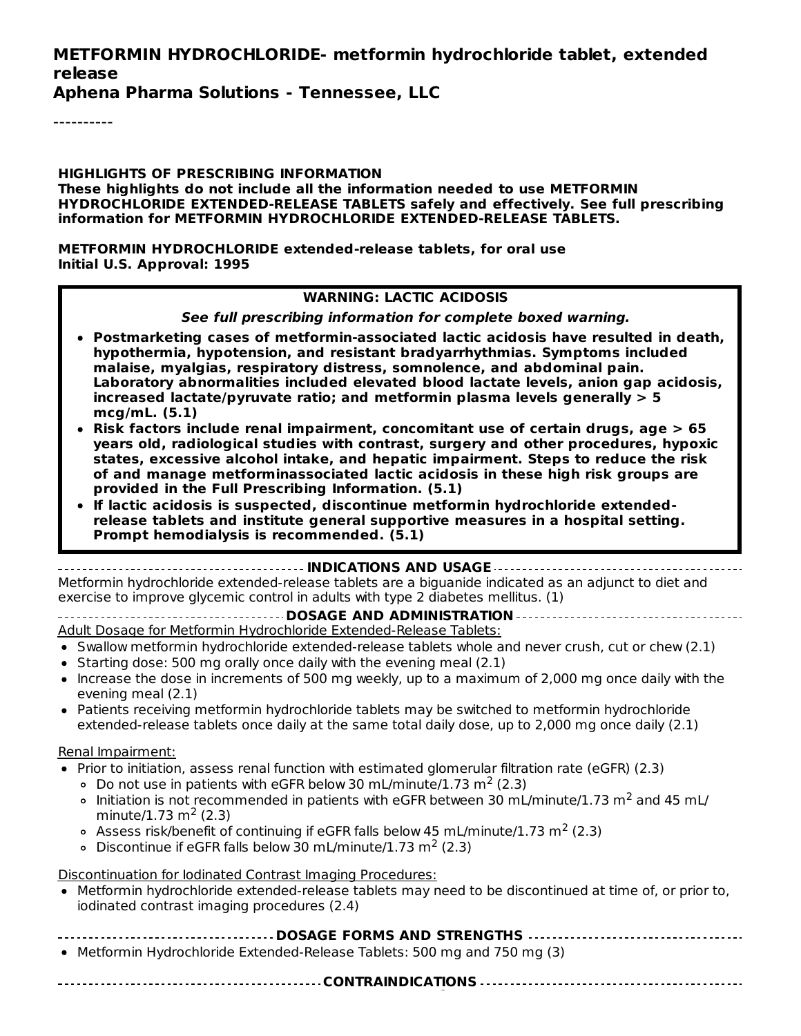#### **METFORMIN HYDROCHLORIDE- metformin hydrochloride tablet, extended release**

**Aphena Pharma Solutions - Tennessee, LLC**

----------

**HIGHLIGHTS OF PRESCRIBING INFORMATION These highlights do not include all the information needed to use METFORMIN HYDROCHLORIDE EXTENDED-RELEASE TABLETS safely and effectively. See full prescribing information for METFORMIN HYDROCHLORIDE EXTENDED-RELEASE TABLETS.**

**METFORMIN HYDROCHLORIDE extended-release tablets, for oral use Initial U.S. Approval: 1995**

#### **WARNING: LACTIC ACIDOSIS**

**See full prescribing information for complete boxed warning.**

- **Postmarketing cases of metformin-associated lactic acidosis have resulted in death, hypothermia, hypotension, and resistant bradyarrhythmias. Symptoms included malaise, myalgias, respiratory distress, somnolence, and abdominal pain. Laboratory abnormalities included elevated blood lactate levels, anion gap acidosis, increased lactate/pyruvate ratio; and metformin plasma levels generally > 5 mcg/mL. (5.1)**
- **Risk factors include renal impairment, concomitant use of certain drugs, age > 65 years old, radiological studies with contrast, surgery and other procedures, hypoxic states, excessive alcohol intake, and hepatic impairment. Steps to reduce the risk of and manage metforminassociated lactic acidosis in these high risk groups are provided in the Full Prescribing Information. (5.1)**
- **If lactic acidosis is suspected, discontinue metformin hydrochloride extendedrelease tablets and institute general supportive measures in a hospital setting. Prompt hemodialysis is recommended. (5.1)**

#### **INDICATIONS AND USAGE**

Metformin hydrochloride extended-release tablets are a biguanide indicated as an adjunct to diet and exercise to improve glycemic control in adults with type 2 diabetes mellitus. (1)

**DOSAGE AND ADMINISTRATION** Adult Dosage for Metformin Hydrochloride Extended-Release Tablets:

- Swallow metformin hydrochloride extended-release tablets whole and never crush, cut or chew (2.1)
- $\bullet$  Starting dose: 500 mg orally once daily with the evening meal (2.1)
- Increase the dose in increments of 500 mg weekly, up to a maximum of 2,000 mg once daily with the evening meal (2.1)
- Patients receiving metformin hydrochloride tablets may be switched to metformin hydrochloride extended-release tablets once daily at the same total daily dose, up to 2,000 mg once daily (2.1)

#### Renal Impairment:

- Prior to initiation, assess renal function with estimated glomerular filtration rate (eGFR) (2.3)
	- Do not use in patients with eGFR below 30 mL/minute/1.73 m<sup>2</sup> (2.3)
	- Initiation is not recommended in patients with eGFR between 30 mL/minute/1.73 m<sup>2</sup> and 45 mL/ minute/1.73 m<sup>2</sup> (2.3)
	- Assess risk/benefit of continuing if eGFR falls below 45 mL/minute/1.73 m<sup>2</sup> (2.3)
	- Discontinue if eGFR falls below 30 mL/minute/1.73 m<sup>2</sup> (2.3)

Discontinuation for Iodinated Contrast Imaging Procedures:

- Metformin hydrochloride extended-release tablets may need to be discontinued at time of, or prior to, iodinated contrast imaging procedures (2.4)
- **DOSAGE FORMS AND STRENGTHS**

**CONTRAINDICATIONS**

• Metformin Hydrochloride Extended-Release Tablets: 500 mg and 750 mg (3)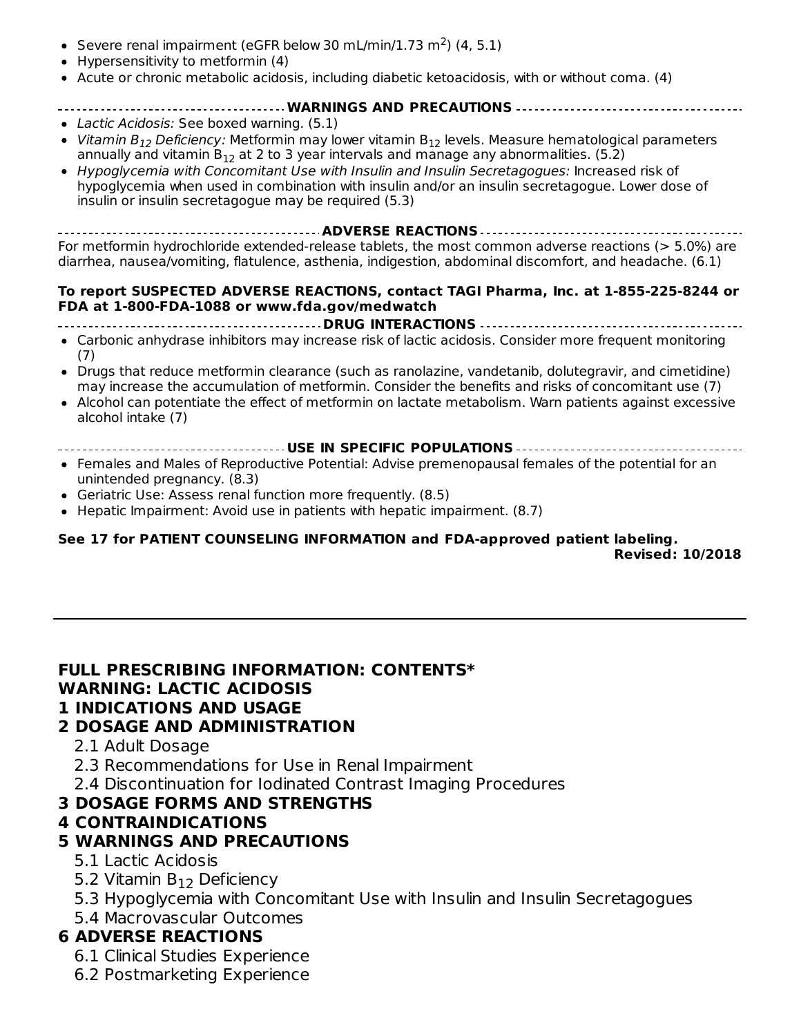- Severe renal impairment (eGFR below 30 mL/min/1.73 m<sup>2</sup>) (4, 5.1)
- Hypersensitivity to metformin (4)
- Acute or chronic metabolic acidosis, including diabetic ketoacidosis, with or without coma. (4)

#### **WARNINGS AND PRECAUTIONS**

- Lactic Acidosis: See boxed warning. (5.1)
- *Vitamin B<sub>12</sub> Deficiency:* Metformin may lower vitamin B<sub>12</sub> levels. Measure hematological parameters annually and vitamin  $B_{12}$  at 2 to 3 year intervals and manage any abnormalities. (5.2)
- Hypoglycemia with Concomitant Use with Insulin and Insulin Secretagogues: Increased risk of hypoglycemia when used in combination with insulin and/or an insulin secretagogue. Lower dose of insulin or insulin secretagogue may be required (5.3)

**ADVERSE REACTIONS** For metformin hydrochloride extended-release tablets, the most common adverse reactions (> 5.0%) are diarrhea, nausea/vomiting, flatulence, asthenia, indigestion, abdominal discomfort, and headache. (6.1)

#### **To report SUSPECTED ADVERSE REACTIONS, contact TAGI Pharma, Inc. at 1-855-225-8244 or FDA at 1-800-FDA-1088 or www.fda.gov/medwatch**

```
DRUG INTERACTIONS
```
- Carbonic anhydrase inhibitors may increase risk of lactic acidosis. Consider more frequent monitoring (7)
- Drugs that reduce metformin clearance (such as ranolazine, vandetanib, dolutegravir, and cimetidine)  $\bullet$ may increase the accumulation of metformin. Consider the benefits and risks of concomitant use (7)
- Alcohol can potentiate the effect of metformin on lactate metabolism. Warn patients against excessive alcohol intake (7)
- **USE IN SPECIFIC POPULATIONS**
- Females and Males of Reproductive Potential: Advise premenopausal females of the potential for an unintended pregnancy. (8.3)
- Geriatric Use: Assess renal function more frequently. (8.5)
- Hepatic Impairment: Avoid use in patients with hepatic impairment. (8.7)

#### **See 17 for PATIENT COUNSELING INFORMATION and FDA-approved patient labeling. Revised: 10/2018**

#### **FULL PRESCRIBING INFORMATION: CONTENTS\* WARNING: LACTIC ACIDOSIS**

# **1 INDICATIONS AND USAGE**

### **2 DOSAGE AND ADMINISTRATION**

- 2.1 Adult Dosage
- 2.3 Recommendations for Use in Renal Impairment
- 2.4 Discontinuation for Iodinated Contrast Imaging Procedures

### **3 DOSAGE FORMS AND STRENGTHS**

### **4 CONTRAINDICATIONS**

### **5 WARNINGS AND PRECAUTIONS**

- 5.1 Lactic Acidosis
- 5.2 Vitamin  $B_{12}$  Deficiency
- 5.3 Hypoglycemia with Concomitant Use with Insulin and Insulin Secretagogues
- 5.4 Macrovascular Outcomes

### **6 ADVERSE REACTIONS**

- 6.1 Clinical Studies Experience
- 6.2 Postmarketing Experience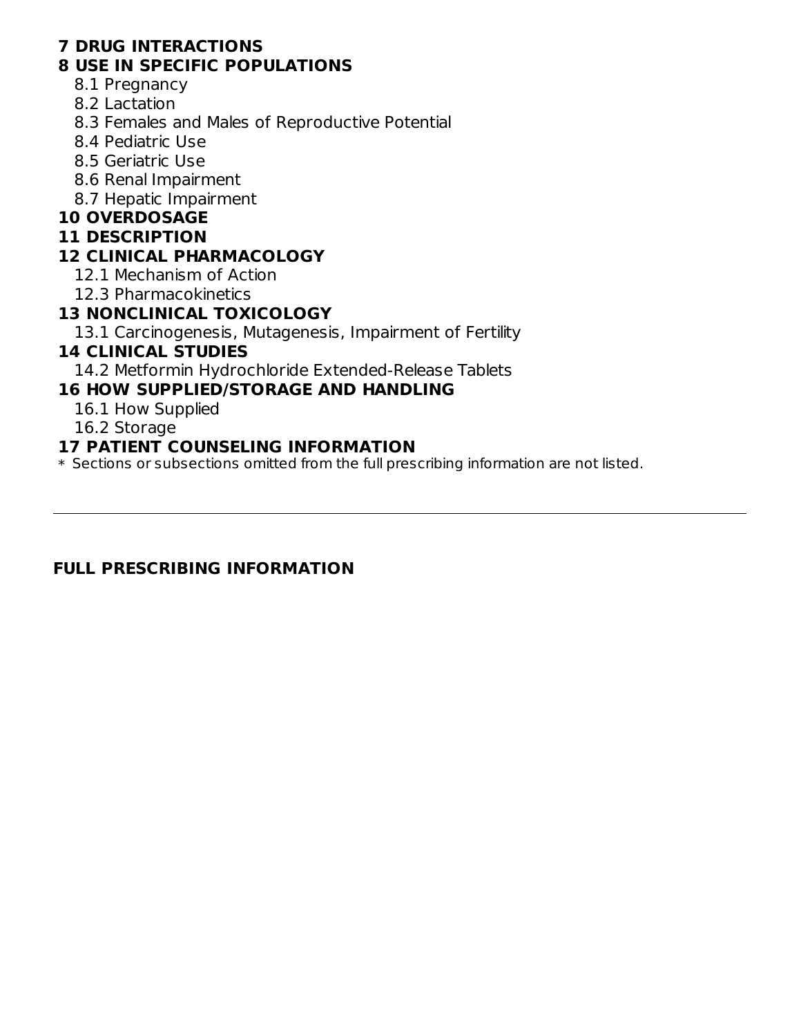### **7 DRUG INTERACTIONS**

### **8 USE IN SPECIFIC POPULATIONS**

- 8.1 Pregnancy
- 8.2 Lactation
- 8.3 Females and Males of Reproductive Potential
- 8.4 Pediatric Use
- 8.5 Geriatric Use
- 8.6 Renal Impairment
- 8.7 Hepatic Impairment

### **10 OVERDOSAGE**

#### **11 DESCRIPTION**

### **12 CLINICAL PHARMACOLOGY**

- 12.1 Mechanism of Action
- 12.3 Pharmacokinetics

### **13 NONCLINICAL TOXICOLOGY**

13.1 Carcinogenesis, Mutagenesis, Impairment of Fertility

### **14 CLINICAL STUDIES**

14.2 Metformin Hydrochloride Extended-Release Tablets

### **16 HOW SUPPLIED/STORAGE AND HANDLING**

- 16.1 How Supplied
- 16.2 Storage

### **17 PATIENT COUNSELING INFORMATION**

\* Sections or subsections omitted from the full prescribing information are not listed.

### **FULL PRESCRIBING INFORMATION**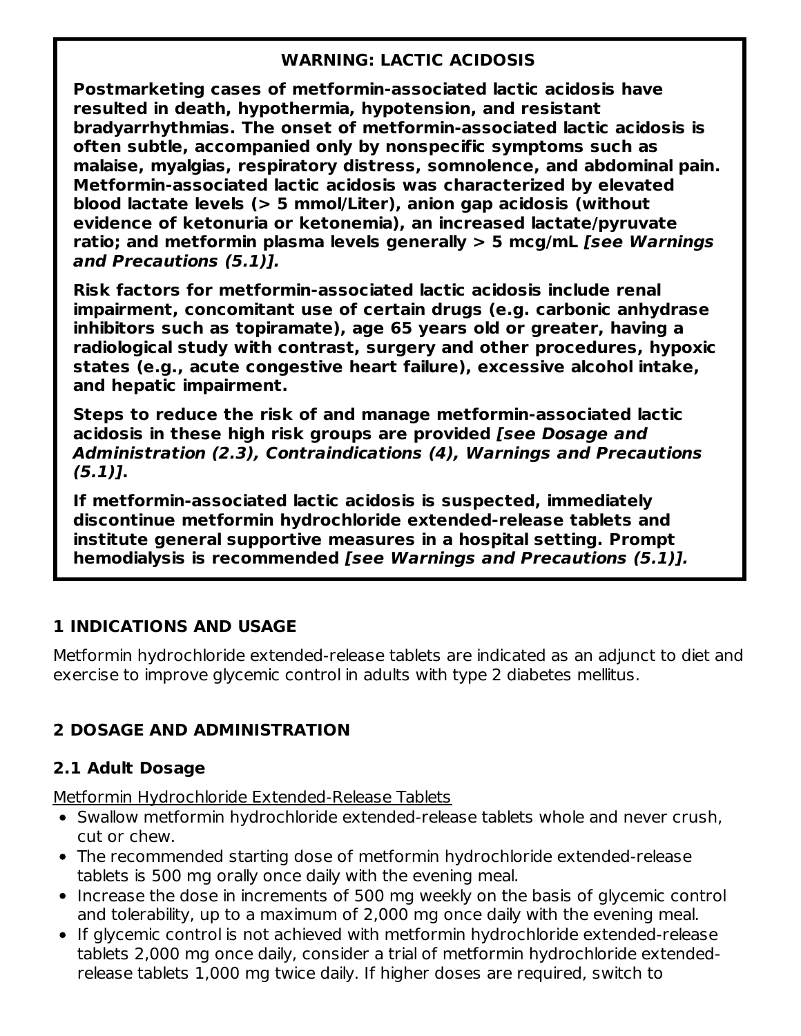### **WARNING: LACTIC ACIDOSIS**

**Postmarketing cases of metformin-associated lactic acidosis have resulted in death, hypothermia, hypotension, and resistant bradyarrhythmias. The onset of metformin-associated lactic acidosis is often subtle, accompanied only by nonspecific symptoms such as malaise, myalgias, respiratory distress, somnolence, and abdominal pain. Metformin-associated lactic acidosis was characterized by elevated blood lactate levels (> 5 mmol/Liter), anion gap acidosis (without evidence of ketonuria or ketonemia), an increased lactate/pyruvate ratio; and metformin plasma levels generally > 5 mcg/mL [see Warnings and Precautions (5.1)].**

**Risk factors for metformin-associated lactic acidosis include renal impairment, concomitant use of certain drugs (e.g. carbonic anhydrase inhibitors such as topiramate), age 65 years old or greater, having a radiological study with contrast, surgery and other procedures, hypoxic states (e.g., acute congestive heart failure), excessive alcohol intake, and hepatic impairment.**

**Steps to reduce the risk of and manage metformin-associated lactic acidosis in these high risk groups are provided [see Dosage and Administration (2.3), Contraindications (4), Warnings and Precautions (5.1)].**

**If metformin-associated lactic acidosis is suspected, immediately discontinue metformin hydrochloride extended-release tablets and institute general supportive measures in a hospital setting. Prompt hemodialysis is recommended [see Warnings and Precautions (5.1)].**

### **1 INDICATIONS AND USAGE**

Metformin hydrochloride extended-release tablets are indicated as an adjunct to diet and exercise to improve glycemic control in adults with type 2 diabetes mellitus.

# **2 DOSAGE AND ADMINISTRATION**

### **2.1 Adult Dosage**

Metformin Hydrochloride Extended-Release Tablets

- Swallow metformin hydrochloride extended-release tablets whole and never crush, cut or chew.
- The recommended starting dose of metformin hydrochloride extended-release tablets is 500 mg orally once daily with the evening meal.
- Increase the dose in increments of 500 mg weekly on the basis of glycemic control and tolerability, up to a maximum of 2,000 mg once daily with the evening meal.
- If glycemic control is not achieved with metformin hydrochloride extended-release tablets 2,000 mg once daily, consider a trial of metformin hydrochloride extendedrelease tablets 1,000 mg twice daily. If higher doses are required, switch to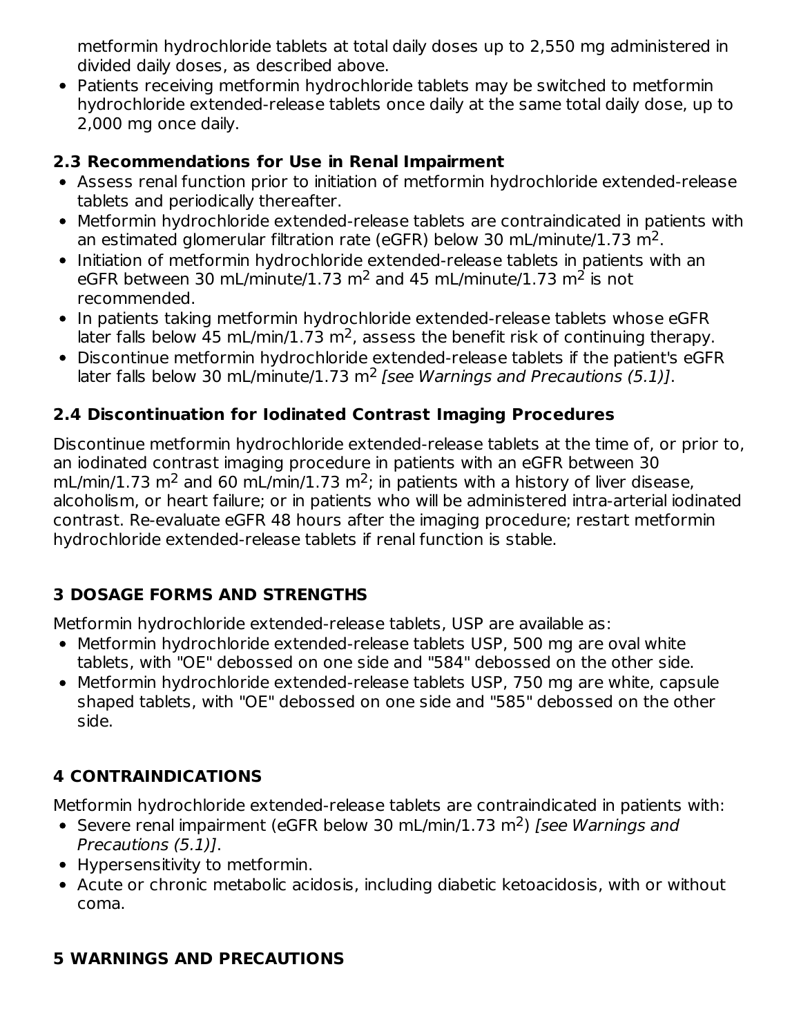metformin hydrochloride tablets at total daily doses up to 2,550 mg administered in divided daily doses, as described above.

Patients receiving metformin hydrochloride tablets may be switched to metformin hydrochloride extended-release tablets once daily at the same total daily dose, up to 2,000 mg once daily.

# **2.3 Recommendations for Use in Renal Impairment**

- Assess renal function prior to initiation of metformin hydrochloride extended-release tablets and periodically thereafter.
- Metformin hydrochloride extended-release tablets are contraindicated in patients with an estimated glomerular filtration rate (eGFR) below 30 mL/minute/1.73 m<sup>2</sup>.
- Initiation of metformin hydrochloride extended-release tablets in patients with an eGFR between 30 mL/minute/1.73 m<sup>2</sup> and 45 mL/minute/1.73 m<sup>2</sup> is not recommended.
- In patients taking metformin hydrochloride extended-release tablets whose eGFR later falls below 45 mL/min/1.73 m<sup>2</sup>, assess the benefit risk of continuing therapy.
- Discontinue metformin hydrochloride extended-release tablets if the patient's eGFR later falls below 30 mL/minute/1.73 m<sup>2</sup> [see Warnings and Precautions (5.1)].

# **2.4 Discontinuation for Iodinated Contrast Imaging Procedures**

Discontinue metformin hydrochloride extended-release tablets at the time of, or prior to, an iodinated contrast imaging procedure in patients with an eGFR between 30 mL/min/1.73 m<sup>2</sup> and 60 mL/min/1.73 m<sup>2</sup>; in patients with a history of liver disease, alcoholism, or heart failure; or in patients who will be administered intra-arterial iodinated contrast. Re-evaluate eGFR 48 hours after the imaging procedure; restart metformin hydrochloride extended-release tablets if renal function is stable.

# **3 DOSAGE FORMS AND STRENGTHS**

Metformin hydrochloride extended-release tablets, USP are available as:

- Metformin hydrochloride extended-release tablets USP, 500 mg are oval white tablets, with "OE" debossed on one side and "584" debossed on the other side.
- Metformin hydrochloride extended-release tablets USP, 750 mg are white, capsule shaped tablets, with "OE" debossed on one side and "585" debossed on the other side.

# **4 CONTRAINDICATIONS**

Metformin hydrochloride extended-release tablets are contraindicated in patients with:

- Severe renal impairment (eGFR below 30 mL/min/1.73 m<sup>2</sup>) [see Warnings and Precautions (5.1)].
- Hypersensitivity to metformin.
- Acute or chronic metabolic acidosis, including diabetic ketoacidosis, with or without coma.

# **5 WARNINGS AND PRECAUTIONS**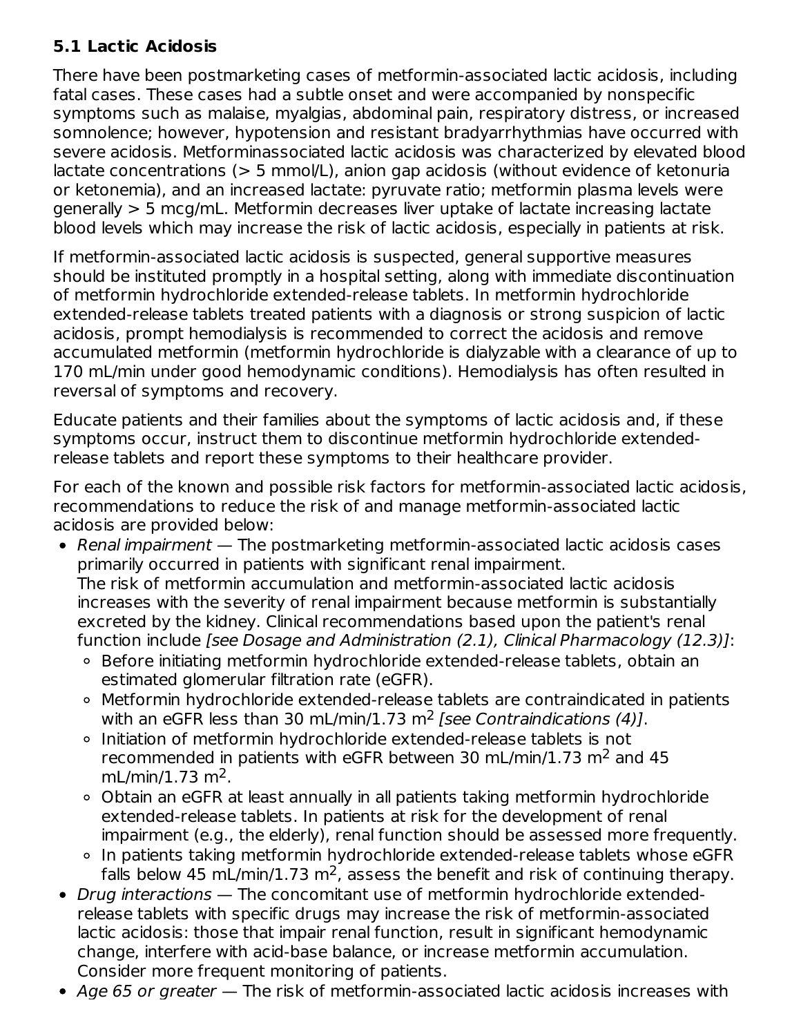## **5.1 Lactic Acidosis**

There have been postmarketing cases of metformin-associated lactic acidosis, including fatal cases. These cases had a subtle onset and were accompanied by nonspecific symptoms such as malaise, myalgias, abdominal pain, respiratory distress, or increased somnolence; however, hypotension and resistant bradyarrhythmias have occurred with severe acidosis. Metforminassociated lactic acidosis was characterized by elevated blood lactate concentrations ( $> 5$  mmol/L), anion gap acidosis (without evidence of ketonuria or ketonemia), and an increased lactate: pyruvate ratio; metformin plasma levels were generally > 5 mcg/mL. Metformin decreases liver uptake of lactate increasing lactate blood levels which may increase the risk of lactic acidosis, especially in patients at risk.

If metformin-associated lactic acidosis is suspected, general supportive measures should be instituted promptly in a hospital setting, along with immediate discontinuation of metformin hydrochloride extended-release tablets. In metformin hydrochloride extended-release tablets treated patients with a diagnosis or strong suspicion of lactic acidosis, prompt hemodialysis is recommended to correct the acidosis and remove accumulated metformin (metformin hydrochloride is dialyzable with a clearance of up to 170 mL/min under good hemodynamic conditions). Hemodialysis has often resulted in reversal of symptoms and recovery.

Educate patients and their families about the symptoms of lactic acidosis and, if these symptoms occur, instruct them to discontinue metformin hydrochloride extendedrelease tablets and report these symptoms to their healthcare provider.

For each of the known and possible risk factors for metformin-associated lactic acidosis, recommendations to reduce the risk of and manage metformin-associated lactic acidosis are provided below:

- Renal impairment  $-$  The postmarketing metformin-associated lactic acidosis cases primarily occurred in patients with significant renal impairment. The risk of metformin accumulation and metformin-associated lactic acidosis increases with the severity of renal impairment because metformin is substantially excreted by the kidney. Clinical recommendations based upon the patient's renal function include [see Dosage and Administration (2.1), Clinical Pharmacology (12.3)]:
	- Before initiating metformin hydrochloride extended-release tablets, obtain an estimated glomerular filtration rate (eGFR).
	- Metformin hydrochloride extended-release tablets are contraindicated in patients with an eGFR less than 30 mL/min/1.73 m<sup>2</sup> [see Contraindications (4)].
	- Initiation of metformin hydrochloride extended-release tablets is not recommended in patients with eGFR between 30 mL/min/1.73  $m<sup>2</sup>$  and 45  $mL/min/1.73 m<sup>2</sup>$ .
	- Obtain an eGFR at least annually in all patients taking metformin hydrochloride extended-release tablets. In patients at risk for the development of renal impairment (e.g., the elderly), renal function should be assessed more frequently.
	- o In patients taking metformin hydrochloride extended-release tablets whose eGFR falls below 45 mL/min/1.73 m<sup>2</sup>, assess the benefit and risk of continuing therapy.
- Drug interactions The concomitant use of metformin hydrochloride extendedrelease tablets with specific drugs may increase the risk of metformin-associated lactic acidosis: those that impair renal function, result in significant hemodynamic change, interfere with acid-base balance, or increase metformin accumulation. Consider more frequent monitoring of patients.
- Age 65 or greater  $-$  The risk of metformin-associated lactic acidosis increases with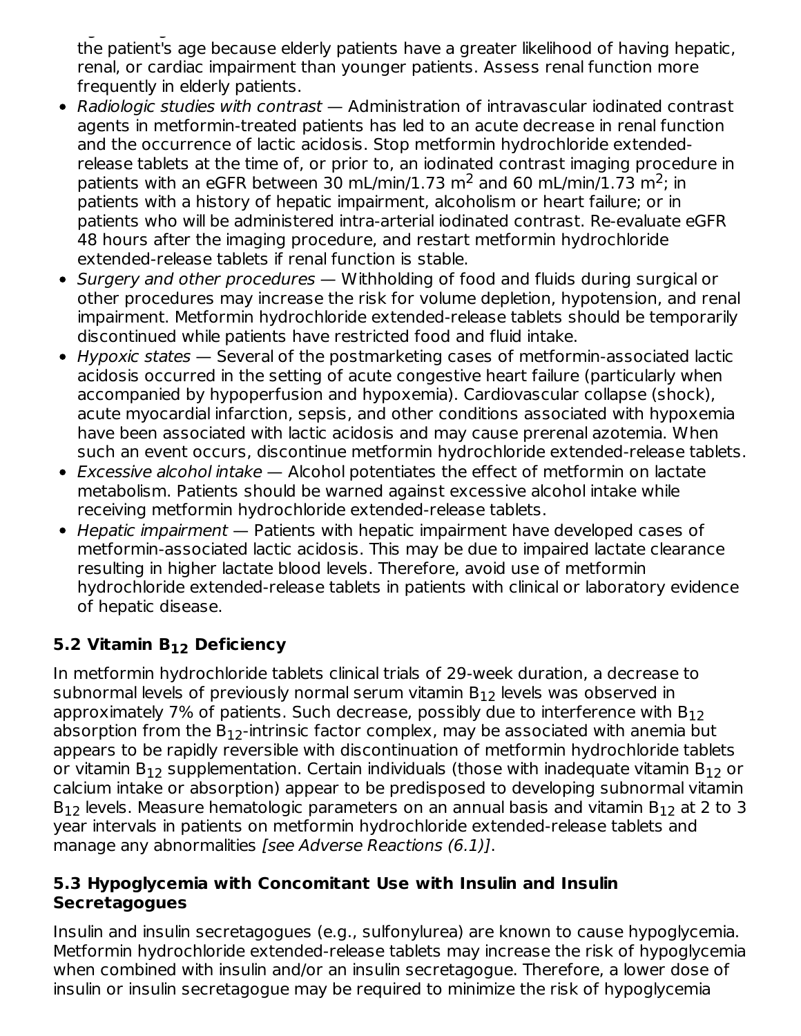$\mathcal{L}_{\mathcal{A}}$  or greater  $\mathcal{L}_{\mathcal{A}}$  or greated lactic acidosis increases with a sociated lactic acidosis increases with  $\mathcal{L}_{\mathcal{A}}$ the patient's age because elderly patients have a greater likelihood of having hepatic, renal, or cardiac impairment than younger patients. Assess renal function more frequently in elderly patients.

- Radiologic studies with contrast Administration of intravascular iodinated contrast agents in metformin-treated patients has led to an acute decrease in renal function and the occurrence of lactic acidosis. Stop metformin hydrochloride extendedrelease tablets at the time of, or prior to, an iodinated contrast imaging procedure in patients with an eGFR between 30 mL/min/1.73 m<sup>2</sup> and 60 mL/min/1.73 m<sup>2</sup>; in patients with a history of hepatic impairment, alcoholism or heart failure; or in patients who will be administered intra-arterial iodinated contrast. Re-evaluate eGFR 48 hours after the imaging procedure, and restart metformin hydrochloride extended-release tablets if renal function is stable.
- Surgery and other procedures Withholding of food and fluids during surgical or other procedures may increase the risk for volume depletion, hypotension, and renal impairment. Metformin hydrochloride extended-release tablets should be temporarily discontinued while patients have restricted food and fluid intake.
- Hypoxic states Several of the postmarketing cases of metformin-associated lactic acidosis occurred in the setting of acute congestive heart failure (particularly when accompanied by hypoperfusion and hypoxemia). Cardiovascular collapse (shock), acute myocardial infarction, sepsis, and other conditions associated with hypoxemia have been associated with lactic acidosis and may cause prerenal azotemia. When such an event occurs, discontinue metformin hydrochloride extended-release tablets.
- Excessive alcohol intake Alcohol potentiates the effect of metformin on lactate metabolism. Patients should be warned against excessive alcohol intake while receiving metformin hydrochloride extended-release tablets.
- Hepatic impairment Patients with hepatic impairment have developed cases of metformin-associated lactic acidosis. This may be due to impaired lactate clearance resulting in higher lactate blood levels. Therefore, avoid use of metformin hydrochloride extended-release tablets in patients with clinical or laboratory evidence of hepatic disease.

# **5.2 Vitamin B Deficiency 12**

In metformin hydrochloride tablets clinical trials of 29-week duration, a decrease to subnormal levels of previously normal serum vitamin  $\mathsf{B}_{12}$  levels was observed in approximately 7% of patients. Such decrease, possibly due to interference with  $\mathsf{B}_{12}$ absorption from the  $\mathsf{B}_{12}$ -intrinsic factor complex, may be associated with anemia but appears to be rapidly reversible with discontinuation of metformin hydrochloride tablets or vitamin B $_{12}$  supplementation. Certain individuals (those with inadequate vitamin B $_{12}$  or calcium intake or absorption) appear to be predisposed to developing subnormal vitamin  $B_{12}$  levels. Measure hematologic parameters on an annual basis and vitamin  $B_{12}$  at 2 to 3 year intervals in patients on metformin hydrochloride extended-release tablets and manage any abnormalities [see Adverse Reactions (6.1)].

### **5.3 Hypoglycemia with Concomitant Use with Insulin and Insulin Secretagogues**

Insulin and insulin secretagogues (e.g., sulfonylurea) are known to cause hypoglycemia. Metformin hydrochloride extended-release tablets may increase the risk of hypoglycemia when combined with insulin and/or an insulin secretagogue. Therefore, a lower dose of insulin or insulin secretagogue may be required to minimize the risk of hypoglycemia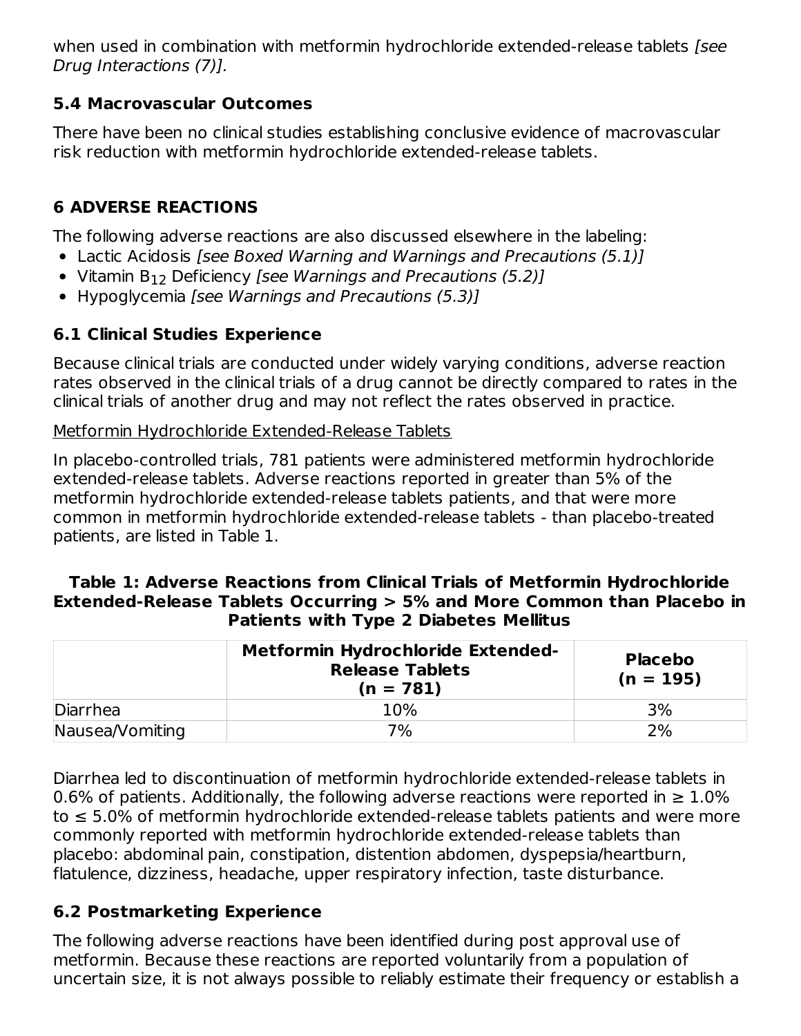when used in combination with metformin hydrochloride extended-release tablets [see Drug Interactions (7)].

## **5.4 Macrovascular Outcomes**

There have been no clinical studies establishing conclusive evidence of macrovascular risk reduction with metformin hydrochloride extended-release tablets.

# **6 ADVERSE REACTIONS**

The following adverse reactions are also discussed elsewhere in the labeling:

- Lactic Acidosis [see Boxed Warning and Warnings and Precautions (5.1)]
- Vitamin  $B_{12}$  Deficiency [see W*arnings and Precautions (5.2)*]
- Hypoglycemia *[see Warnings and Precautions (5.3)]*

# **6.1 Clinical Studies Experience**

Because clinical trials are conducted under widely varying conditions, adverse reaction rates observed in the clinical trials of a drug cannot be directly compared to rates in the clinical trials of another drug and may not reflect the rates observed in practice.

Metformin Hydrochloride Extended-Release Tablets

In placebo-controlled trials, 781 patients were administered metformin hydrochloride extended-release tablets. Adverse reactions reported in greater than 5% of the metformin hydrochloride extended-release tablets patients, and that were more common in metformin hydrochloride extended-release tablets - than placebo-treated patients, are listed in Table 1.

#### **Table 1: Adverse Reactions from Clinical Trials of Metformin Hydrochloride Extended-Release Tablets Occurring > 5% and More Common than Placebo in Patients with Type 2 Diabetes Mellitus**

| <b>Metformin Hydrochloride Extended-</b><br><b>Release Tablets</b><br>$(n = 781)$ |     | <b>Placebo</b><br>$(n = 195)$ |  |
|-----------------------------------------------------------------------------------|-----|-------------------------------|--|
| Diarrhea                                                                          | 10% | 3%                            |  |
| Nausea/Vomiting                                                                   | 7%  | 2%                            |  |

Diarrhea led to discontinuation of metformin hydrochloride extended-release tablets in 0.6% of patients. Additionally, the following adverse reactions were reported in  $\geq 1.0\%$ to ≤ 5.0% of metformin hydrochloride extended-release tablets patients and were more commonly reported with metformin hydrochloride extended-release tablets than placebo: abdominal pain, constipation, distention abdomen, dyspepsia/heartburn, flatulence, dizziness, headache, upper respiratory infection, taste disturbance.

# **6.2 Postmarketing Experience**

The following adverse reactions have been identified during post approval use of metformin. Because these reactions are reported voluntarily from a population of uncertain size, it is not always possible to reliably estimate their frequency or establish a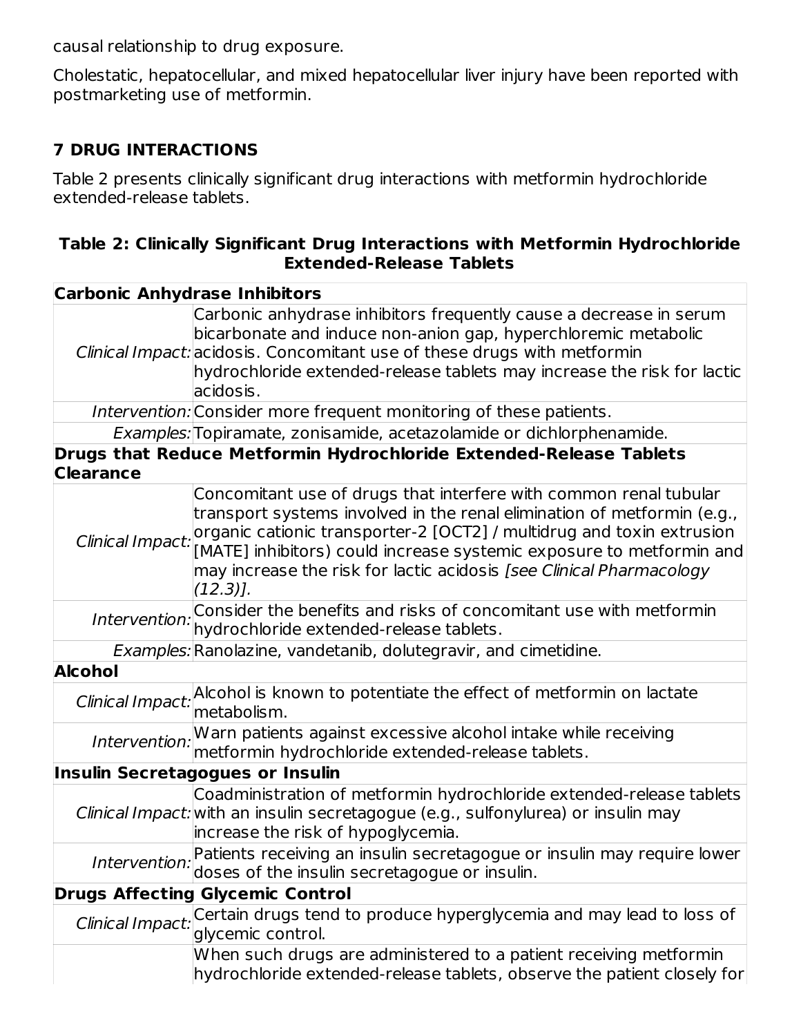causal relationship to drug exposure.

Cholestatic, hepatocellular, and mixed hepatocellular liver injury have been reported with postmarketing use of metformin.

## **7 DRUG INTERACTIONS**

Table 2 presents clinically significant drug interactions with metformin hydrochloride extended-release tablets.

### **Table 2: Clinically Significant Drug Interactions with Metformin Hydrochloride Extended-Release Tablets**

| <b>Carbonic Anhydrase Inhibitors</b> |                                                                                                                                                                                                                                                                                                                                                                                      |
|--------------------------------------|--------------------------------------------------------------------------------------------------------------------------------------------------------------------------------------------------------------------------------------------------------------------------------------------------------------------------------------------------------------------------------------|
|                                      | Carbonic anhydrase inhibitors frequently cause a decrease in serum<br>bicarbonate and induce non-anion gap, hyperchloremic metabolic<br>Clinical Impact: acidosis. Concomitant use of these drugs with metformin<br>hydrochloride extended-release tablets may increase the risk for lactic<br>acidosis.                                                                             |
|                                      | Intervention: Consider more frequent monitoring of these patients.                                                                                                                                                                                                                                                                                                                   |
|                                      | Examples: Topiramate, zonisamide, acetazolamide or dichlorphenamide.                                                                                                                                                                                                                                                                                                                 |
| <b>Clearance</b>                     | Drugs that Reduce Metformin Hydrochloride Extended-Release Tablets                                                                                                                                                                                                                                                                                                                   |
| Clinical Impact:                     | Concomitant use of drugs that interfere with common renal tubular<br>transport systems involved in the renal elimination of metformin (e.g.,<br>organic cationic transporter-2 [OCT2] / multidrug and toxin extrusion<br>[MATE] inhibitors) could increase systemic exposure to metformin and<br>may increase the risk for lactic acidosis [see Clinical Pharmacology<br>$(12.3)$ ]. |
| Intervention:                        | Consider the benefits and risks of concomitant use with metformin<br>hydrochloride extended-release tablets.                                                                                                                                                                                                                                                                         |
|                                      | Examples: Ranolazine, vandetanib, dolutegravir, and cimetidine.                                                                                                                                                                                                                                                                                                                      |
| <b>Alcohol</b>                       |                                                                                                                                                                                                                                                                                                                                                                                      |
|                                      | Clinical Impact: Alcohol is known to potentiate the effect of metformin on lactate<br>metabolism.                                                                                                                                                                                                                                                                                    |
| Intervention:                        | Warn patients against excessive alcohol intake while receiving<br>metformin hydrochloride extended-release tablets.                                                                                                                                                                                                                                                                  |
|                                      | <b>Insulin Secretagogues or Insulin</b>                                                                                                                                                                                                                                                                                                                                              |
|                                      | Coadministration of metformin hydrochloride extended-release tablets<br>Clinical Impact: with an insulin secretagogue (e.g., sulfonylurea) or insulin may<br>increase the risk of hypoglycemia.                                                                                                                                                                                      |
| Intervention:                        | Patients receiving an insulin secretagogue or insulin may require lower<br>doses of the insulin secretagogue or insulin.                                                                                                                                                                                                                                                             |
|                                      | <b>Drugs Affecting Glycemic Control</b>                                                                                                                                                                                                                                                                                                                                              |
| Clinical Impact:                     | Certain drugs tend to produce hyperglycemia and may lead to loss of<br>glycemic control.                                                                                                                                                                                                                                                                                             |
|                                      | When such drugs are administered to a patient receiving metformin<br>hydrochloride extended-release tablets, observe the patient closely for                                                                                                                                                                                                                                         |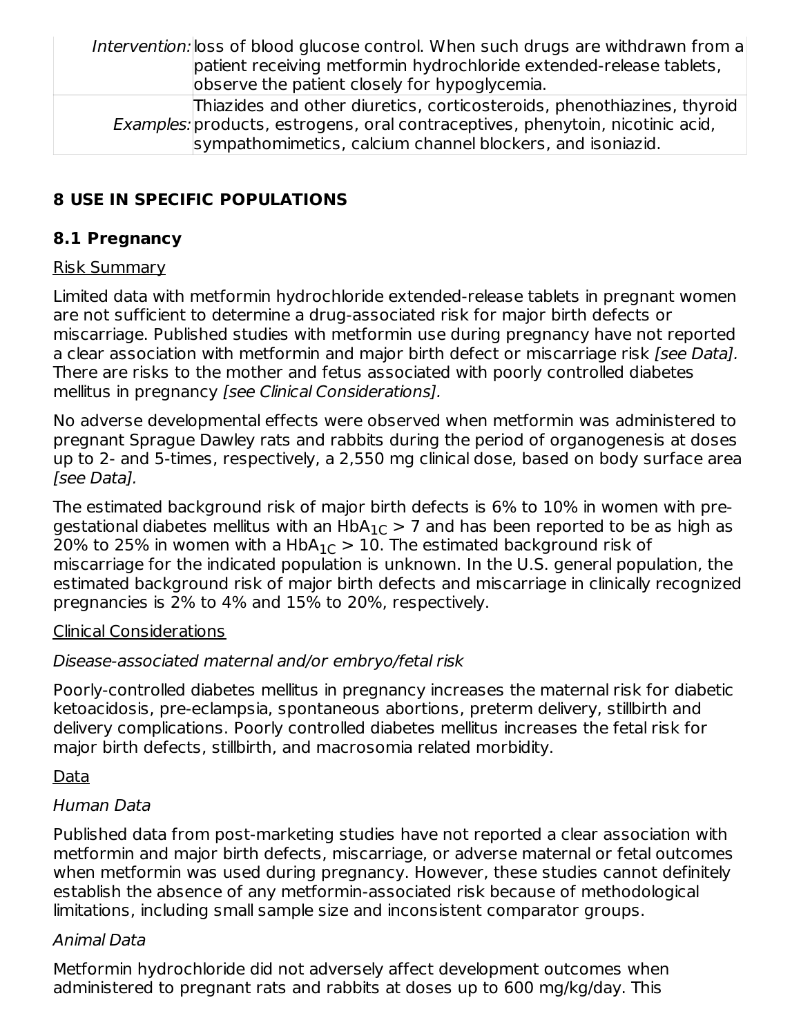Intervention: loss of blood glucose control. When such drugs are withdrawn from a patient receiving metformin hydrochloride extended-release tablets, observe the patient closely for hypoglycemia. Examples: products, estrogens, oral contraceptives, phenytoin, nicotinic acid, Thiazides and other diuretics, corticosteroids, phenothiazines, thyroid

sympathomimetics, calcium channel blockers, and isoniazid.

# **8 USE IN SPECIFIC POPULATIONS**

# **8.1 Pregnancy**

# Risk Summary

Limited data with metformin hydrochloride extended-release tablets in pregnant women are not sufficient to determine a drug-associated risk for major birth defects or miscarriage. Published studies with metformin use during pregnancy have not reported a clear association with metformin and major birth defect or miscarriage risk [see Data]. There are risks to the mother and fetus associated with poorly controlled diabetes mellitus in pregnancy [see Clinical Considerations].

No adverse developmental effects were observed when metformin was administered to pregnant Sprague Dawley rats and rabbits during the period of organogenesis at doses up to 2- and 5-times, respectively, a 2,550 mg clinical dose, based on body surface area [see Data].

The estimated background risk of major birth defects is 6% to 10% in women with pregestational diabetes mellitus with an HbA $_{1{\text C}}$   $>$  7 and has been reported to be as high as 20% to 25% in women with a HbA $_{1{\rm C}}$   $>$  10. The estimated background risk of miscarriage for the indicated population is unknown. In the U.S. general population, the estimated background risk of major birth defects and miscarriage in clinically recognized pregnancies is 2% to 4% and 15% to 20%, respectively.

# Clinical Considerations

# Disease-associated maternal and/or embryo/fetal risk

Poorly-controlled diabetes mellitus in pregnancy increases the maternal risk for diabetic ketoacidosis, pre-eclampsia, spontaneous abortions, preterm delivery, stillbirth and delivery complications. Poorly controlled diabetes mellitus increases the fetal risk for major birth defects, stillbirth, and macrosomia related morbidity.

# Data

# Human Data

Published data from post-marketing studies have not reported a clear association with metformin and major birth defects, miscarriage, or adverse maternal or fetal outcomes when metformin was used during pregnancy. However, these studies cannot definitely establish the absence of any metformin-associated risk because of methodological limitations, including small sample size and inconsistent comparator groups.

# Animal Data

Metformin hydrochloride did not adversely affect development outcomes when administered to pregnant rats and rabbits at doses up to 600 mg/kg/day. This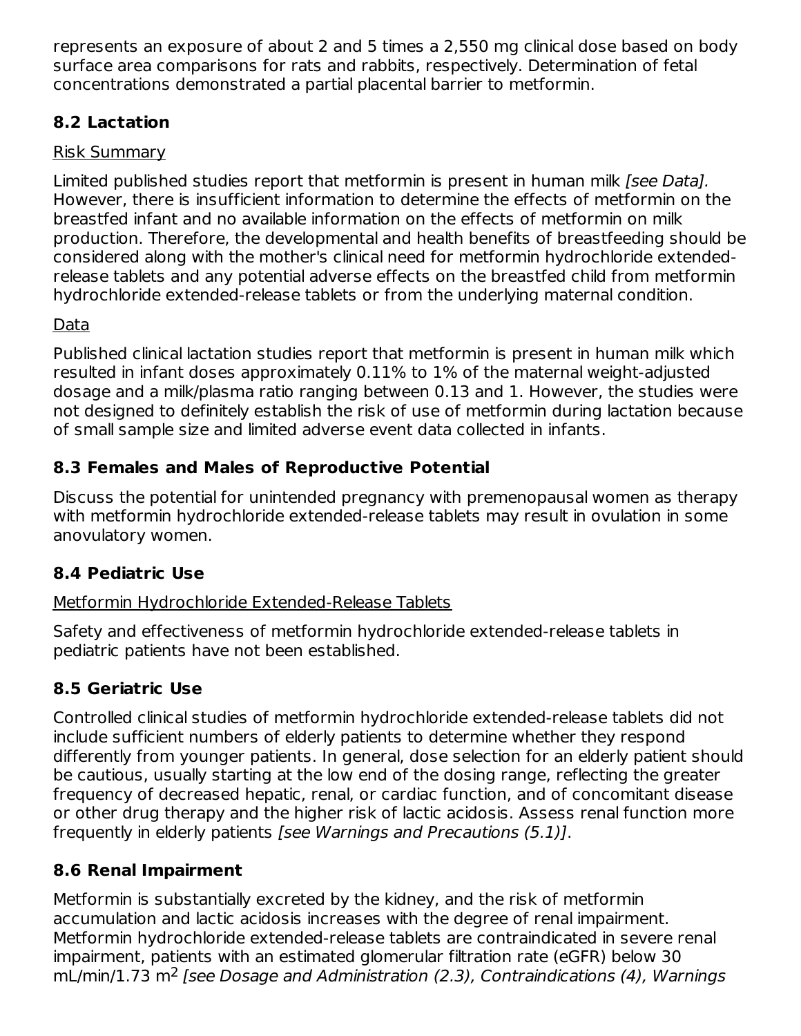represents an exposure of about 2 and 5 times a 2,550 mg clinical dose based on body surface area comparisons for rats and rabbits, respectively. Determination of fetal concentrations demonstrated a partial placental barrier to metformin.

# **8.2 Lactation**

### Risk Summary

Limited published studies report that metformin is present in human milk [see Data]. However, there is insufficient information to determine the effects of metformin on the breastfed infant and no available information on the effects of metformin on milk production. Therefore, the developmental and health benefits of breastfeeding should be considered along with the mother's clinical need for metformin hydrochloride extendedrelease tablets and any potential adverse effects on the breastfed child from metformin hydrochloride extended-release tablets or from the underlying maternal condition.

# Data

Published clinical lactation studies report that metformin is present in human milk which resulted in infant doses approximately 0.11% to 1% of the maternal weight-adjusted dosage and a milk/plasma ratio ranging between 0.13 and 1. However, the studies were not designed to definitely establish the risk of use of metformin during lactation because of small sample size and limited adverse event data collected in infants.

# **8.3 Females and Males of Reproductive Potential**

Discuss the potential for unintended pregnancy with premenopausal women as therapy with metformin hydrochloride extended-release tablets may result in ovulation in some anovulatory women.

# **8.4 Pediatric Use**

# Metformin Hydrochloride Extended-Release Tablets

Safety and effectiveness of metformin hydrochloride extended-release tablets in pediatric patients have not been established.

# **8.5 Geriatric Use**

Controlled clinical studies of metformin hydrochloride extended-release tablets did not include sufficient numbers of elderly patients to determine whether they respond differently from younger patients. In general, dose selection for an elderly patient should be cautious, usually starting at the low end of the dosing range, reflecting the greater frequency of decreased hepatic, renal, or cardiac function, and of concomitant disease or other drug therapy and the higher risk of lactic acidosis. Assess renal function more frequently in elderly patients [see Warnings and Precautions (5.1)].

# **8.6 Renal Impairment**

Metformin is substantially excreted by the kidney, and the risk of metformin accumulation and lactic acidosis increases with the degree of renal impairment. Metformin hydrochloride extended-release tablets are contraindicated in severe renal impairment, patients with an estimated glomerular filtration rate (eGFR) below 30  $mL/min/1.73 m<sup>2</sup>$  [see Dosage and Administration (2.3), Contraindications (4), Warnings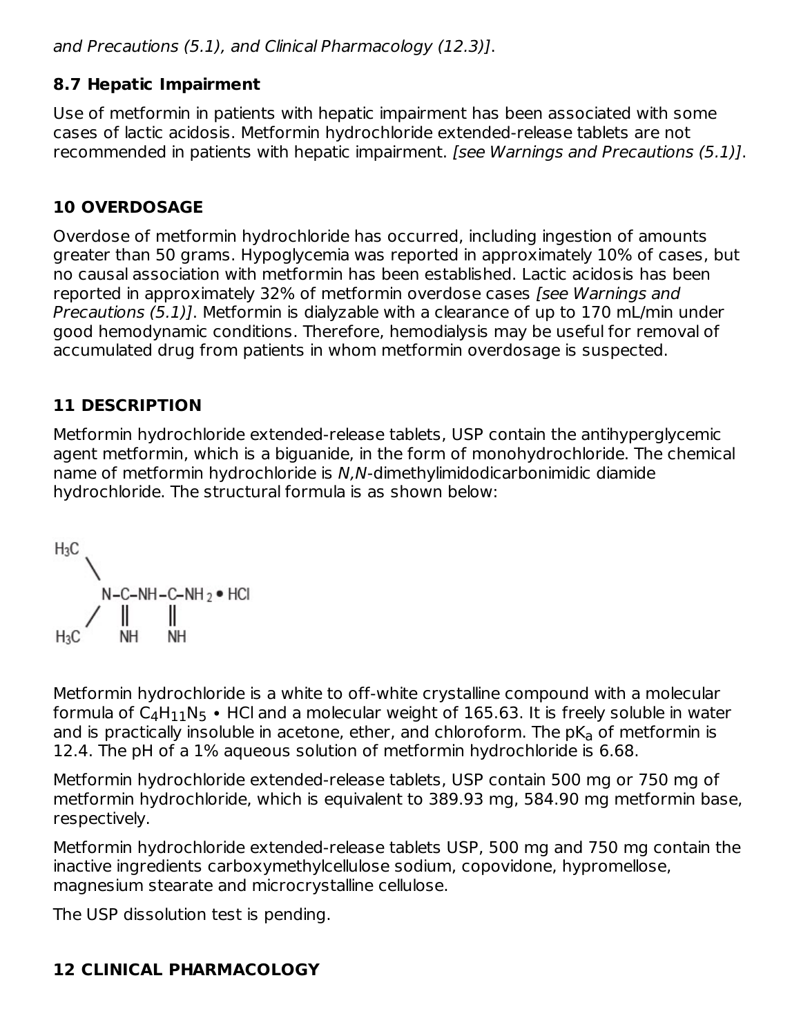and Precautions (5.1), and Clinical Pharmacology (12.3)].

### **8.7 Hepatic Impairment**

Use of metformin in patients with hepatic impairment has been associated with some cases of lactic acidosis. Metformin hydrochloride extended-release tablets are not recommended in patients with hepatic impairment. [see Warnings and Precautions (5.1)].

# **10 OVERDOSAGE**

Overdose of metformin hydrochloride has occurred, including ingestion of amounts greater than 50 grams. Hypoglycemia was reported in approximately 10% of cases, but no causal association with metformin has been established. Lactic acidosis has been reported in approximately 32% of metformin overdose cases [see Warnings and Precautions (5.1)]. Metformin is dialyzable with a clearance of up to 170 mL/min under good hemodynamic conditions. Therefore, hemodialysis may be useful for removal of accumulated drug from patients in whom metformin overdosage is suspected.

# **11 DESCRIPTION**

Metformin hydrochloride extended-release tablets, USP contain the antihyperglycemic agent metformin, which is a biguanide, in the form of monohydrochloride. The chemical name of metformin hydrochloride is N,N-dimethylimidodicarbonimidic diamide hydrochloride. The structural formula is as shown below:



Metformin hydrochloride is a white to off-white crystalline compound with a molecular formula of C $_4$ H $_{11}$ N $_5$  • HCl and a molecular weight of 165.63. It is freely soluble in water and is practically insoluble in acetone, ether, and chloroform. The p $\mathsf{K}_{\mathsf{a}}$  of metformin is 12.4. The pH of a 1% aqueous solution of metformin hydrochloride is 6.68.

Metformin hydrochloride extended-release tablets, USP contain 500 mg or 750 mg of metformin hydrochloride, which is equivalent to 389.93 mg, 584.90 mg metformin base, respectively.

Metformin hydrochloride extended-release tablets USP, 500 mg and 750 mg contain the inactive ingredients carboxymethylcellulose sodium, copovidone, hypromellose, magnesium stearate and microcrystalline cellulose.

The USP dissolution test is pending.

# **12 CLINICAL PHARMACOLOGY**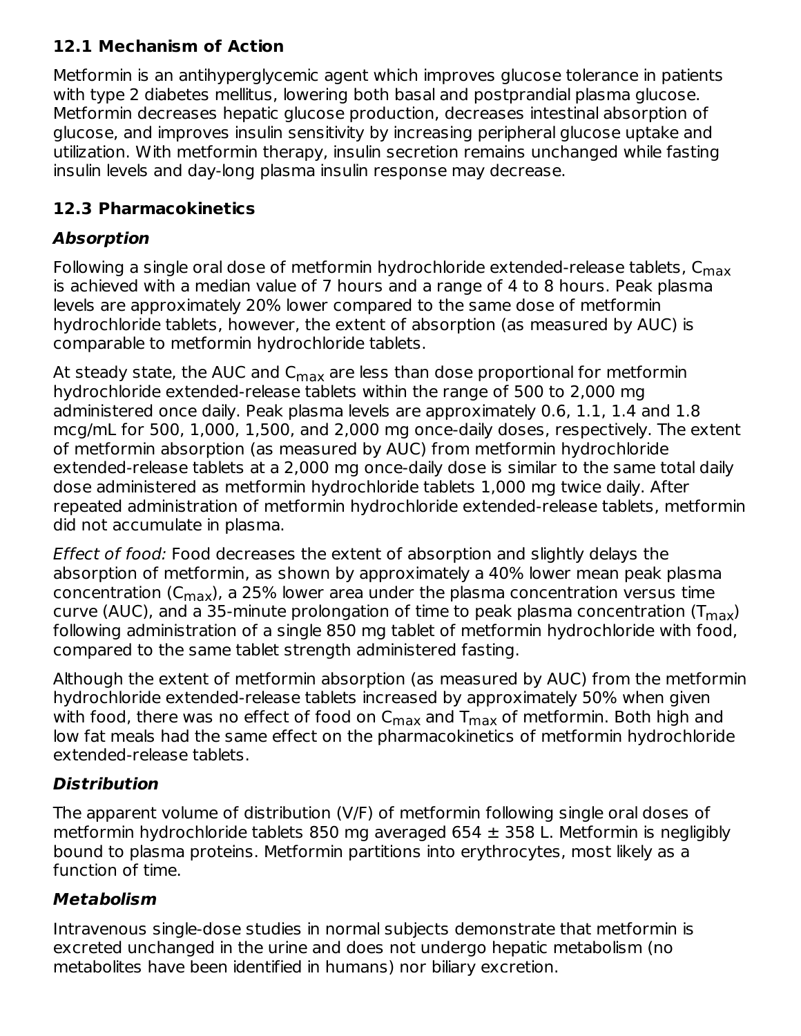# **12.1 Mechanism of Action**

Metformin is an antihyperglycemic agent which improves glucose tolerance in patients with type 2 diabetes mellitus, lowering both basal and postprandial plasma glucose. Metformin decreases hepatic glucose production, decreases intestinal absorption of glucose, and improves insulin sensitivity by increasing peripheral glucose uptake and utilization. With metformin therapy, insulin secretion remains unchanged while fasting insulin levels and day-long plasma insulin response may decrease.

# **12.3 Pharmacokinetics**

# **Absorption**

Following a single oral dose of metformin hydrochloride extended-release tablets, C<sub>max</sub> is achieved with a median value of 7 hours and a range of 4 to 8 hours. Peak plasma levels are approximately 20% lower compared to the same dose of metformin hydrochloride tablets, however, the extent of absorption (as measured by AUC) is comparable to metformin hydrochloride tablets.

At steady state, the AUC and C<sub>max</sub> are less than dose proportional for metformin hydrochloride extended-release tablets within the range of 500 to 2,000 mg administered once daily. Peak plasma levels are approximately 0.6, 1.1, 1.4 and 1.8 mcg/mL for 500, 1,000, 1,500, and 2,000 mg once-daily doses, respectively. The extent of metformin absorption (as measured by AUC) from metformin hydrochloride extended-release tablets at a 2,000 mg once-daily dose is similar to the same total daily dose administered as metformin hydrochloride tablets 1,000 mg twice daily. After repeated administration of metformin hydrochloride extended-release tablets, metformin did not accumulate in plasma.

Effect of food: Food decreases the extent of absorption and slightly delays the absorption of metformin, as shown by approximately a 40% lower mean peak plasma concentration (C<sub>max</sub>), a 25% lower area under the plasma concentration versus time curve (AUC), and a 35-minute prolongation of time to peak plasma concentration (T $_{\sf max}$ ) following administration of a single 850 mg tablet of metformin hydrochloride with food, compared to the same tablet strength administered fasting.

Although the extent of metformin absorption (as measured by AUC) from the metformin hydrochloride extended-release tablets increased by approximately 50% when given with food, there was no effect of food on  $\mathsf{C}_{\mathsf{max}}$  and  $\mathsf{T}_{\mathsf{max}}$  of metformin. Both high and low fat meals had the same effect on the pharmacokinetics of metformin hydrochloride extended-release tablets.

# **Distribution**

The apparent volume of distribution (V/F) of metformin following single oral doses of metformin hydrochloride tablets 850 mg averaged 654  $\pm$  358 L. Metformin is negligibly bound to plasma proteins. Metformin partitions into erythrocytes, most likely as a function of time.

# **Metabolism**

Intravenous single-dose studies in normal subjects demonstrate that metformin is excreted unchanged in the urine and does not undergo hepatic metabolism (no metabolites have been identified in humans) nor biliary excretion.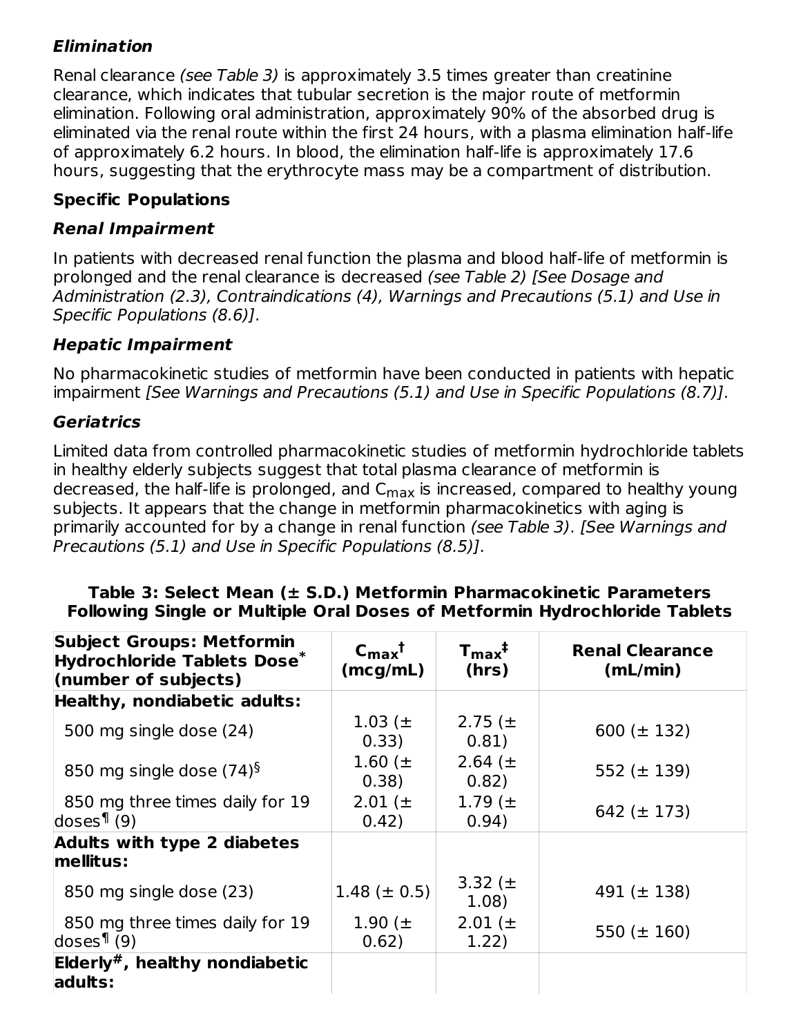# **Elimination**

Renal clearance (see Table 3) is approximately 3.5 times greater than creatinine clearance, which indicates that tubular secretion is the major route of metformin elimination. Following oral administration, approximately 90% of the absorbed drug is eliminated via the renal route within the first 24 hours, with a plasma elimination half-life of approximately 6.2 hours. In blood, the elimination half-life is approximately 17.6 hours, suggesting that the erythrocyte mass may be a compartment of distribution.

### **Specific Populations**

### **Renal Impairment**

In patients with decreased renal function the plasma and blood half-life of metformin is prolonged and the renal clearance is decreased (see Table 2) [See Dosage and Administration (2.3), Contraindications (4), Warnings and Precautions (5.1) and Use in Specific Populations (8.6)].

### **Hepatic Impairment**

No pharmacokinetic studies of metformin have been conducted in patients with hepatic impairment [See Warnings and Precautions (5.1) and Use in Specific Populations (8.7)].

### **Geriatrics**

Limited data from controlled pharmacokinetic studies of metformin hydrochloride tablets in healthy elderly subjects suggest that total plasma clearance of metformin is decreased, the half-life is prolonged, and C<sub>max</sub> is increased, compared to healthy young subjects. It appears that the change in metformin pharmacokinetics with aging is primarily accounted for by a change in renal function (see Table 3). [See Warnings and Precautions (5.1) and Use in Specific Populations (8.5)].

#### **Table 3: Select Mean (± S.D.) Metformin Pharmacokinetic Parameters Following Single or Multiple Oral Doses of Metformin Hydrochloride Tablets**

| <b>Subject Groups: Metformin</b><br>Hydrochloride Tablets Dose*<br>(number of subjects) | $C_{\rm max}$ <sup>†</sup><br>(mcg/mL) | $T_{\rm max}$ <sup>‡</sup><br>(hrs) | <b>Renal Clearance</b><br>(mL/min) |
|-----------------------------------------------------------------------------------------|----------------------------------------|-------------------------------------|------------------------------------|
| Healthy, nondiabetic adults:                                                            |                                        |                                     |                                    |
| 500 mg single dose (24)                                                                 | 1.03 ( $\pm$ )<br>0.33)                | 2.75 ( $\pm$<br>0.81)               | 600 ( $\pm$ 132)                   |
| 850 mg single dose $(74)^{6}$                                                           | 1.60 ( $\pm$<br>0.38)                  | 2.64 $(\pm$<br>0.82)                | 552 ( $\pm$ 139)                   |
| 850 mg three times daily for 19<br>doses <sup>1</sup> (9)                               | 2.01 ( $\pm$<br>0.42)                  | 1.79 $(\pm$<br>0.94)                | 642 ( $\pm$ 173)                   |
| <b>Adults with type 2 diabetes</b>                                                      |                                        |                                     |                                    |
| mellitus:                                                                               |                                        |                                     |                                    |
| 850 mg single dose (23)                                                                 | $1.48 (\pm 0.5)$                       | 3.32 ( $\pm$<br>1.08)               | 491 ( $\pm$ 138)                   |
| 850 mg three times daily for 19<br>doses $\P(9)$                                        | 1.90 $(\pm$<br>0.62)                   | 2.01 ( $\pm$<br>1.22)               | 550 ( $\pm$ 160)                   |
| Elderly <sup>#</sup> , healthy nondiabetic<br>adults:                                   |                                        |                                     |                                    |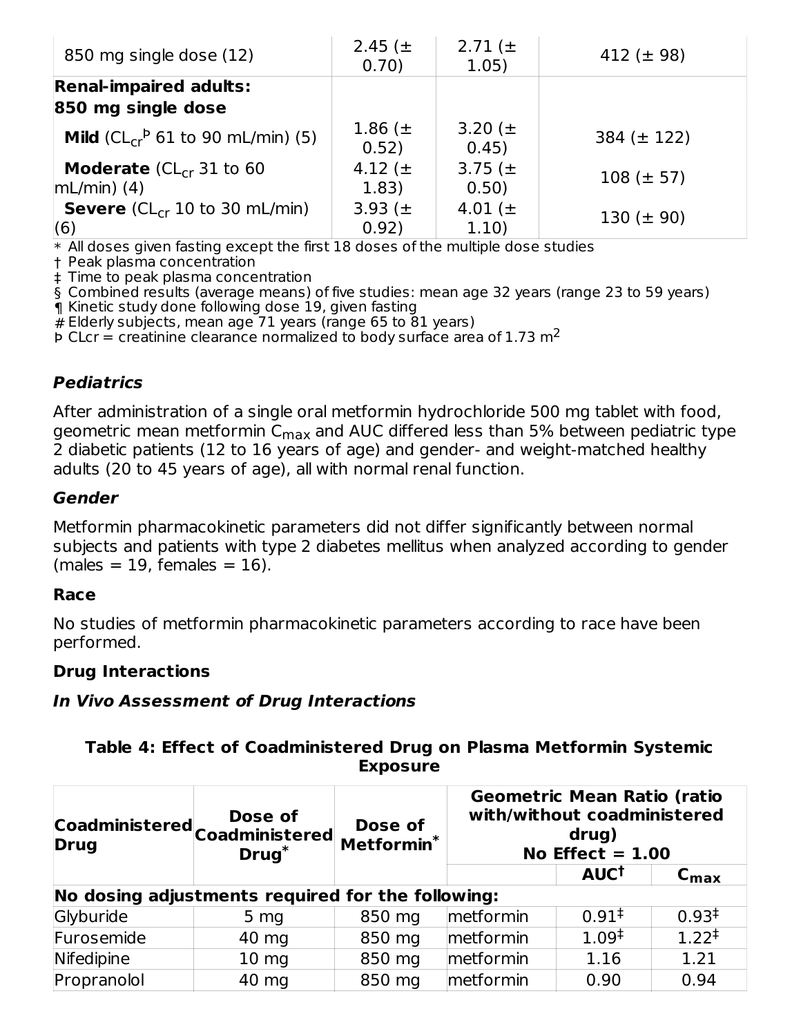| 850 mg single dose (12)                               | 2.45 $(\pm$<br>0.70)  | 2.71 $(\pm$<br>1.05)  | 412 ( $\pm$ 98)  |
|-------------------------------------------------------|-----------------------|-----------------------|------------------|
| <b>Renal-impaired adults:</b>                         |                       |                       |                  |
| 850 mg single dose                                    |                       |                       |                  |
| <b>Mild</b> ( $CL_{cr}^P$ 61 to 90 mL/min) (5)        | 1.86 $(\pm$<br>0.52)  | 3.20 $(\pm$<br>0.45)  | 384 ( $\pm$ 122) |
| <b>Moderate</b> ( $CL_{cr}$ 31 to 60<br>$mL/min)$ (4) | 4.12 ( $\pm$<br>1.83) | 3.75 ( $\pm$<br>0.50) | $108 (\pm 57)$   |
| <b>Severe</b> ( $CL_{cr}$ 10 to 30 mL/min)<br>(6)     | 3.93 $(\pm$<br>0.92)  | 4.01 ( $\pm$<br>1.10) | 130 ( $\pm$ 90)  |

 $\ast$  All doses given fasting except the first  $18$  doses of the multiple dose studies

† Peak plasma concentration

‡ Time to peak plasma concentration

§ Combined results (average means) of five studies: mean age 32 years (range 23 to 59 years)

¶ Kinetic study done following dose 19, given fasting

# Elderly subjects, mean age 71 years (range 65 to 81 years)

 $\bar{p}$  CLcr = creatinine clearance normalized to body surface area of 1.73 m<sup>2</sup>

### **Pediatrics**

After administration of a single oral metformin hydrochloride 500 mg tablet with food, geometric mean metformin C<sub>max</sub> and AUC differed less than 5% between pediatric type 2 diabetic patients (12 to 16 years of age) and gender- and weight-matched healthy adults (20 to 45 years of age), all with normal renal function.

#### **Gender**

Metformin pharmacokinetic parameters did not differ significantly between normal subjects and patients with type 2 diabetes mellitus when analyzed according to gender  $(males = 19, females = 16).$ 

### **Race**

No studies of metformin pharmacokinetic parameters according to race have been performed.

#### **Drug Interactions**

#### **In Vivo Assessment of Drug Interactions**

### **Table 4: Effect of Coadministered Drug on Plasma Metformin Systemic Exposure**

| <b>Drug</b> | Coadministered Coadministered<br>Drug <sup>*</sup> | Dose of<br>Metformin <sup>*</sup> | <b>Geometric Mean Ratio (ratio</b><br>with/without coadministered<br>drug)<br>No Effect $= 1.00$ |                   |                   |
|-------------|----------------------------------------------------|-----------------------------------|--------------------------------------------------------------------------------------------------|-------------------|-------------------|
|             |                                                    |                                   |                                                                                                  | AUC <sup>t</sup>  | $C_{\text{max}}$  |
|             | No dosing adjustments required for the following:  |                                   |                                                                                                  |                   |                   |
| Glyburide   | 5 <sub>mg</sub>                                    | 850 mg                            | metformin                                                                                        | $0.91^{\ddagger}$ | 0.93 <sup>†</sup> |
| Furosemide  | 40 mg                                              | 850 mg                            | metformin                                                                                        | $1.09^{\ddagger}$ | $1.22^{\ddagger}$ |
| Nifedipine  | 10 <sub>mg</sub>                                   | 850 mg                            | metformin                                                                                        | 1.16              | 1.21              |
| Propranolol | 40 mg                                              | 850 mg                            | metformin                                                                                        | 0.90              | 0.94              |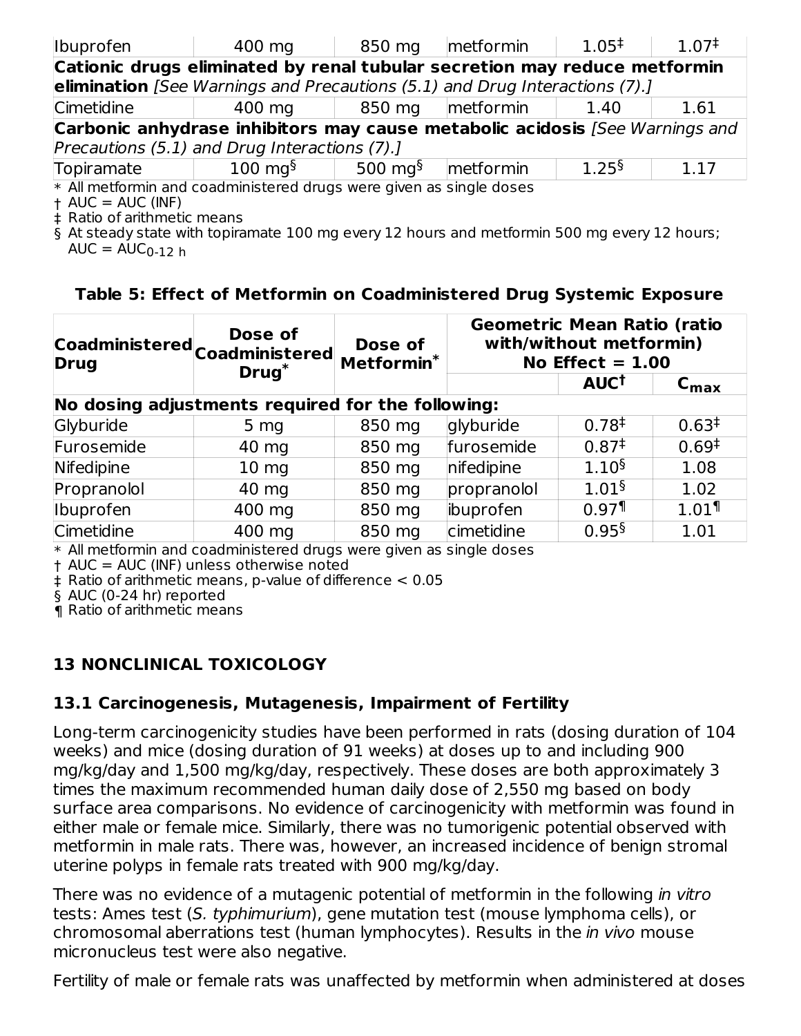| Ibuprofen                     | 400 mg                                                                              | 850 mg                | metformin | $1.05^{\ddagger}$ | $1.07^{\ddagger}$ |  |
|-------------------------------|-------------------------------------------------------------------------------------|-----------------------|-----------|-------------------|-------------------|--|
|                               | Cationic drugs eliminated by renal tubular secretion may reduce metformin           |                       |           |                   |                   |  |
|                               | elimination [See Warnings and Precautions (5.1) and Drug Interactions (7).]         |                       |           |                   |                   |  |
| Cimetidine                    | 400 mg                                                                              | 850 mg                | metformin | 1.40              | 1.61              |  |
|                               | <b>Carbonic anhydrase inhibitors may cause metabolic acidosis</b> [See Warnings and |                       |           |                   |                   |  |
|                               | Precautions (5.1) and Drug Interactions (7).]                                       |                       |           |                   |                   |  |
| Topiramate                    | $100 \text{ mg}^{\S}$                                                               | 500 mg $\rm ^{\rm 5}$ | metformin | 1.25 <sup>§</sup> | 1.17              |  |
|                               | * All metformin and coadministered drugs were given as single doses                 |                       |           |                   |                   |  |
| $+ AUC = AUC (INF)$           |                                                                                     |                       |           |                   |                   |  |
| L. Datis af seitheachig monne |                                                                                     |                       |           |                   |                   |  |

‡ Ratio of arithmetic means

§ At steady state with topiramate 100 mg every 12 hours and metformin 500 mg every 12 hours;  $AUC = AUC_{0-12}$  h

### **Table 5: Effect of Metformin on Coadministered Drug Systemic Exposure**

| <b>Drug</b> | Dose of<br> Coadministered  <sub>Coadministered</sub> | Dose of<br>Metformin <sup>*</sup> | <b>Geometric Mean Ratio (ratio</b><br>with/without metformin)<br>No Effect $= 1.00$ |                        |                     |
|-------------|-------------------------------------------------------|-----------------------------------|-------------------------------------------------------------------------------------|------------------------|---------------------|
|             | $Drug^*$                                              |                                   |                                                                                     | <b>AUC<sup>t</sup></b> | $C_{\text{max}}$    |
|             | No dosing adjustments required for the following:     |                                   |                                                                                     |                        |                     |
| Glyburide   | 5 <sub>mg</sub>                                       | 850 mg                            | glyburide                                                                           | 0.78 <sup>‡</sup>      | 0.63 <sup>†</sup>   |
| Furosemide  | 40 mg                                                 | 850 mg                            | furosemide                                                                          | $0.87^{\ddagger}$      | $0.69^{\ddagger}$   |
| Nifedipine  | $10 \text{ mg}$                                       | 850 mg                            | nifedipine                                                                          | 1.10 <sup>§</sup>      | 1.08                |
| Propranolol | 40 mg                                                 | 850 mg                            | propranolol                                                                         | $1.01\$                | 1.02                |
| Ibuprofen   | 400 mg                                                | 850 mg                            | ibuprofen                                                                           | $0.97$ <sup>1</sup>    | $1.01$ <sup>1</sup> |
| Cimetidine  | 400 mg                                                | 850 mg                            | cimetidine                                                                          | 0.95 <sup>§</sup>      | 1.01                |

\* All metformin and coadministered drugs were given as single doses

† AUC = AUC (INF) unless otherwise noted

‡ Ratio of arithmetic means, p-value of difference < 0.05

§ AUC (0-24 hr) reported

¶ Ratio of arithmetic means

### **13 NONCLINICAL TOXICOLOGY**

#### **13.1 Carcinogenesis, Mutagenesis, Impairment of Fertility**

Long-term carcinogenicity studies have been performed in rats (dosing duration of 104 weeks) and mice (dosing duration of 91 weeks) at doses up to and including 900 mg/kg/day and 1,500 mg/kg/day, respectively. These doses are both approximately 3 times the maximum recommended human daily dose of 2,550 mg based on body surface area comparisons. No evidence of carcinogenicity with metformin was found in either male or female mice. Similarly, there was no tumorigenic potential observed with metformin in male rats. There was, however, an increased incidence of benign stromal uterine polyps in female rats treated with 900 mg/kg/day.

There was no evidence of a mutagenic potential of metformin in the following in vitro tests: Ames test (S. typhimurium), gene mutation test (mouse lymphoma cells), or chromosomal aberrations test (human lymphocytes). Results in the *in vivo* mouse micronucleus test were also negative.

Fertility of male or female rats was unaffected by metformin when administered at doses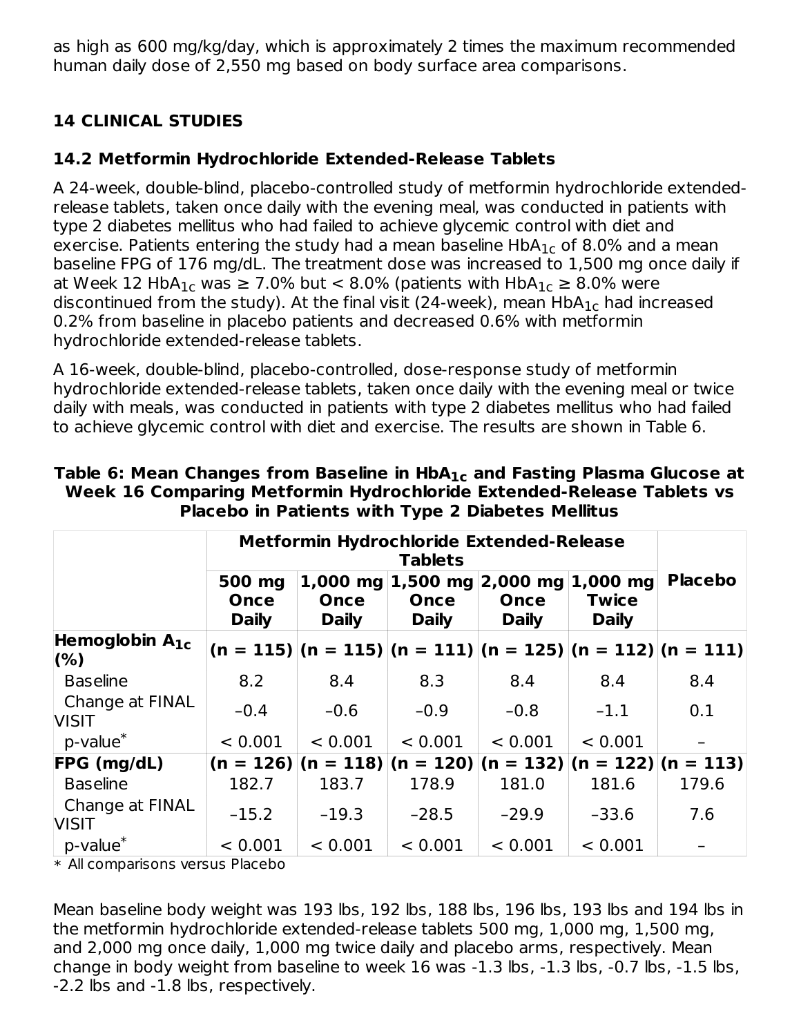as high as 600 mg/kg/day, which is approximately 2 times the maximum recommended human daily dose of 2,550 mg based on body surface area comparisons.

# **14 CLINICAL STUDIES**

# **14.2 Metformin Hydrochloride Extended-Release Tablets**

A 24-week, double-blind, placebo-controlled study of metformin hydrochloride extendedrelease tablets, taken once daily with the evening meal, was conducted in patients with type 2 diabetes mellitus who had failed to achieve glycemic control with diet and exercise. Patients entering the study had a mean baseline  $\sf HbA_{1c}$  of 8.0% and a mean baseline FPG of 176 mg/dL. The treatment dose was increased to 1,500 mg once daily if at Week 12 HbA $_{1c}$  was  $\geq 7.0\%$  but  $< 8.0\%$  (patients with HbA $_{1c} \geq 8.0\%$  were discontinued from the study). At the final visit (24-week), mean  $\sf HbA_{1c}$  had increased 0.2% from baseline in placebo patients and decreased 0.6% with metformin hydrochloride extended-release tablets.

A 16-week, double-blind, placebo-controlled, dose-response study of metformin hydrochloride extended-release tablets, taken once daily with the evening meal or twice daily with meals, was conducted in patients with type 2 diabetes mellitus who had failed to achieve glycemic control with diet and exercise. The results are shown in Table 6.

|                                 | Metformin Hydrochloride Extended-Release<br><b>Tablets</b> |                      |                      |                                                                |                              |                |
|---------------------------------|------------------------------------------------------------|----------------------|----------------------|----------------------------------------------------------------|------------------------------|----------------|
|                                 | 500 mg<br>Once<br><b>Daily</b>                             | Once<br><b>Daily</b> | Once<br><b>Daily</b> | 1,000 mg 1,500 mg 2,000 mg 1,000 mg<br>Once<br><b>Daily</b>    | <b>Twice</b><br><b>Daily</b> | <b>Placebo</b> |
| Hemoglobin $A_{1c}$<br>(% )     |                                                            |                      |                      | $(n = 115)$  (n = 115) (n = 111) (n = 125) (n = 112) (n = 111) |                              |                |
| Baseline                        | 8.2                                                        | 8.4                  | 8.3                  | 8.4                                                            | 8.4                          | 8.4            |
| Change at FINAL<br><b>VISIT</b> | $-0.4$                                                     | $-0.6$               | $-0.9$               | $-0.8$                                                         | $-1.1$                       | 0.1            |
| p-value <sup>*</sup>            | < 0.001                                                    | < 0.001              | < 0.001              | < 0.001                                                        | < 0.001                      |                |
| FPG (mg/dL)                     |                                                            |                      |                      | $(n = 126)$  (n = 118) (n = 120) (n = 132) (n = 122) (n = 113) |                              |                |
| <b>Baseline</b>                 | 182.7                                                      | 183.7                | 178.9                | 181.0                                                          | 181.6                        | 179.6          |
| Change at FINAL<br><b>VISIT</b> | $-15.2$                                                    | $-19.3$              | $-28.5$              | $-29.9$                                                        | $-33.6$                      | 7.6            |
| p-value <sup>*</sup>            | < 0.001                                                    | < 0.001              | < 0.001              | < 0.001                                                        | < 0.001                      |                |

**Table 6: Mean Changes from Baseline in HbA and Fasting Plasma Glucose at 1c Week 16 Comparing Metformin Hydrochloride Extended-Release Tablets vs Placebo in Patients with Type 2 Diabetes Mellitus**

\* All comparisons versus Placebo

Mean baseline body weight was 193 lbs, 192 lbs, 188 lbs, 196 lbs, 193 lbs and 194 lbs in the metformin hydrochloride extended-release tablets 500 mg, 1,000 mg, 1,500 mg, and 2,000 mg once daily, 1,000 mg twice daily and placebo arms, respectively. Mean change in body weight from baseline to week 16 was -1.3 lbs, -1.3 lbs, -0.7 lbs, -1.5 lbs, -2.2 lbs and -1.8 lbs, respectively.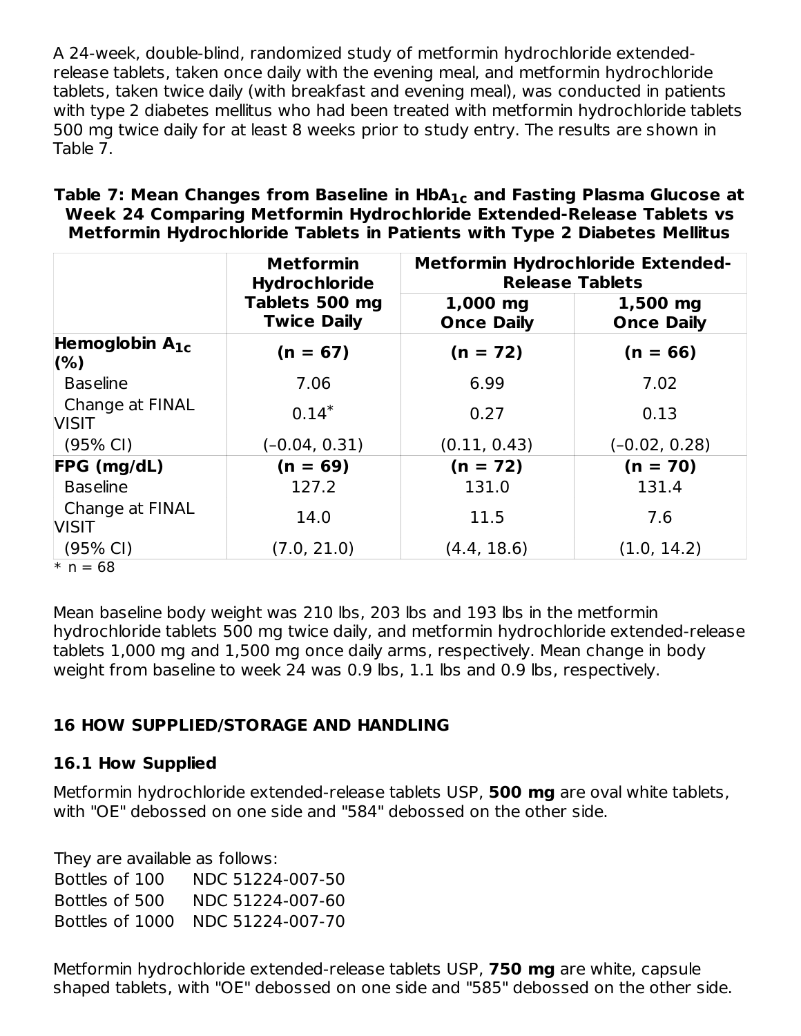A 24-week, double-blind, randomized study of metformin hydrochloride extendedrelease tablets, taken once daily with the evening meal, and metformin hydrochloride tablets, taken twice daily (with breakfast and evening meal), was conducted in patients with type 2 diabetes mellitus who had been treated with metformin hydrochloride tablets 500 mg twice daily for at least 8 weeks prior to study entry. The results are shown in Table 7.

| Table 7: Mean Changes from Baseline in $HbA_{1c}$ and Fasting Plasma Glucose at |
|---------------------------------------------------------------------------------|
| Week 24 Comparing Metformin Hydrochloride Extended-Release Tablets vs           |
| Metformin Hydrochloride Tablets in Patients with Type 2 Diabetes Mellitus       |

|                                 | <b>Metformin</b><br><b>Hydrochloride</b> | <b>Metformin Hydrochloride Extended-</b><br><b>Release Tablets</b> |                               |
|---------------------------------|------------------------------------------|--------------------------------------------------------------------|-------------------------------|
|                                 | Tablets 500 mg<br><b>Twice Daily</b>     | 1,000 mg<br><b>Once Daily</b>                                      | 1,500 mg<br><b>Once Daily</b> |
| Hemoglobin $A_{1c}$<br>(% )     | $(n = 67)$                               | $(n = 72)$                                                         | $(n = 66)$                    |
| <b>Baseline</b>                 | 7.06                                     | 6.99                                                               | 7.02                          |
| Change at FINAL<br><b>VISIT</b> | $0.14*$                                  | 0.27                                                               | 0.13                          |
| $(95% \text{ Cl})$              | $(-0.04, 0.31)$                          | (0.11, 0.43)                                                       | $(-0.02, 0.28)$               |
| FPG (mg/dL)                     | $(n = 69)$                               | $(n = 72)$                                                         | $(n = 70)$                    |
| <b>Baseline</b>                 | 127.2                                    | 131.0                                                              | 131.4                         |
| Change at FINAL<br><b>VISIT</b> | 14.0                                     | 11.5                                                               | 7.6                           |
| $(95% \text{ Cl})$              | (7.0, 21.0)                              | (4.4, 18.6)                                                        | (1.0, 14.2)                   |
| $* n = 68$                      |                                          |                                                                    |                               |

Mean baseline body weight was 210 lbs, 203 lbs and 193 lbs in the metformin hydrochloride tablets 500 mg twice daily, and metformin hydrochloride extended-release tablets 1,000 mg and 1,500 mg once daily arms, respectively. Mean change in body weight from baseline to week 24 was 0.9 lbs, 1.1 lbs and 0.9 lbs, respectively.

# **16 HOW SUPPLIED/STORAGE AND HANDLING**

### **16.1 How Supplied**

Metformin hydrochloride extended-release tablets USP, **500 mg** are oval white tablets, with "OE" debossed on one side and "584" debossed on the other side.

They are available as follows: Bottles of 100 NDC 51224-007-50 Bottles of 500 NDC 51224-007-60 Bottles of 1000 NDC 51224-007-70

Metformin hydrochloride extended-release tablets USP, **750 mg** are white, capsule shaped tablets, with "OE" debossed on one side and "585" debossed on the other side.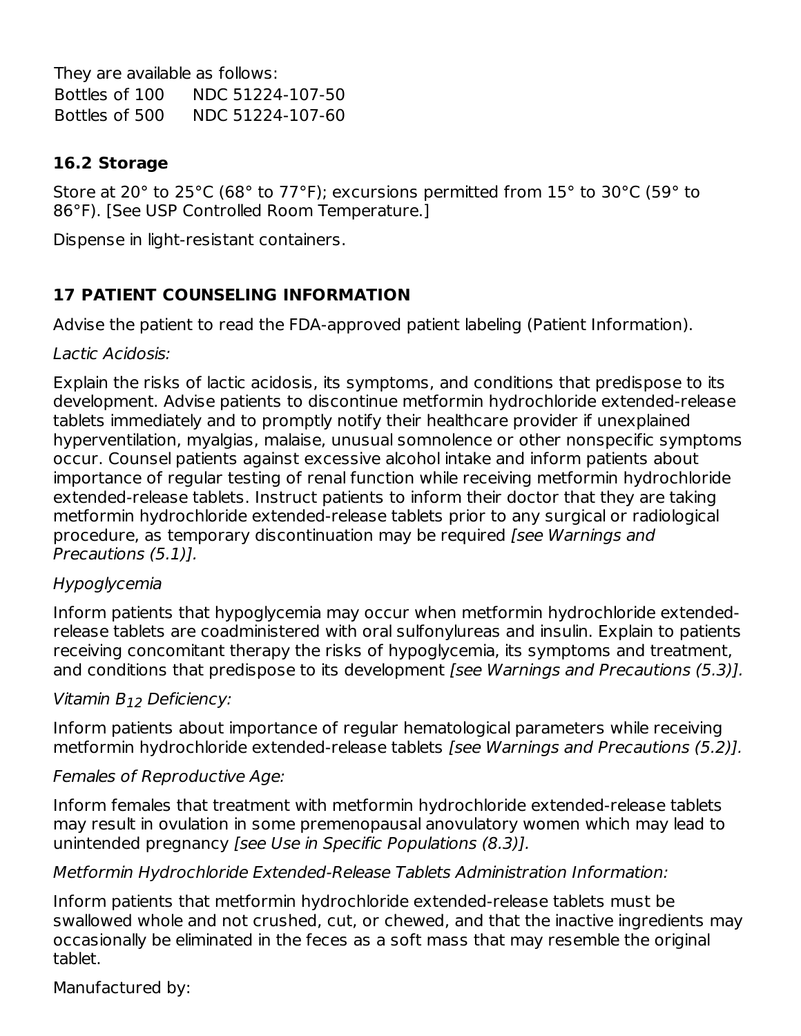They are available as follows: Bottles of 100 NDC 51224-107-50 Bottles of 500 NDC 51224-107-60

### **16.2 Storage**

Store at 20° to 25°C (68° to 77°F); excursions permitted from 15° to 30°C (59° to 86°F). [See USP Controlled Room Temperature.]

Dispense in light-resistant containers.

# **17 PATIENT COUNSELING INFORMATION**

Advise the patient to read the FDA-approved patient labeling (Patient Information).

### Lactic Acidosis:

Explain the risks of lactic acidosis, its symptoms, and conditions that predispose to its development. Advise patients to discontinue metformin hydrochloride extended-release tablets immediately and to promptly notify their healthcare provider if unexplained hyperventilation, myalgias, malaise, unusual somnolence or other nonspecific symptoms occur. Counsel patients against excessive alcohol intake and inform patients about importance of regular testing of renal function while receiving metformin hydrochloride extended-release tablets. Instruct patients to inform their doctor that they are taking metformin hydrochloride extended-release tablets prior to any surgical or radiological procedure, as temporary discontinuation may be required [see Warnings and Precautions (5.1)].

### Hypoglycemia

Inform patients that hypoglycemia may occur when metformin hydrochloride extendedrelease tablets are coadministered with oral sulfonylureas and insulin. Explain to patients receiving concomitant therapy the risks of hypoglycemia, its symptoms and treatment, and conditions that predispose to its development [see Warnings and Precautions (5.3)].

# Vitamin B<sub>12</sub> Deficiency:

Inform patients about importance of regular hematological parameters while receiving metformin hydrochloride extended-release tablets [see Warnings and Precautions (5.2)].

### Females of Reproductive Age:

Inform females that treatment with metformin hydrochloride extended-release tablets may result in ovulation in some premenopausal anovulatory women which may lead to unintended pregnancy [see Use in Specific Populations (8.3)].

### Metformin Hydrochloride Extended-Release Tablets Administration Information:

Inform patients that metformin hydrochloride extended-release tablets must be swallowed whole and not crushed, cut, or chewed, and that the inactive ingredients may occasionally be eliminated in the feces as a soft mass that may resemble the original tablet.

### Manufactured by: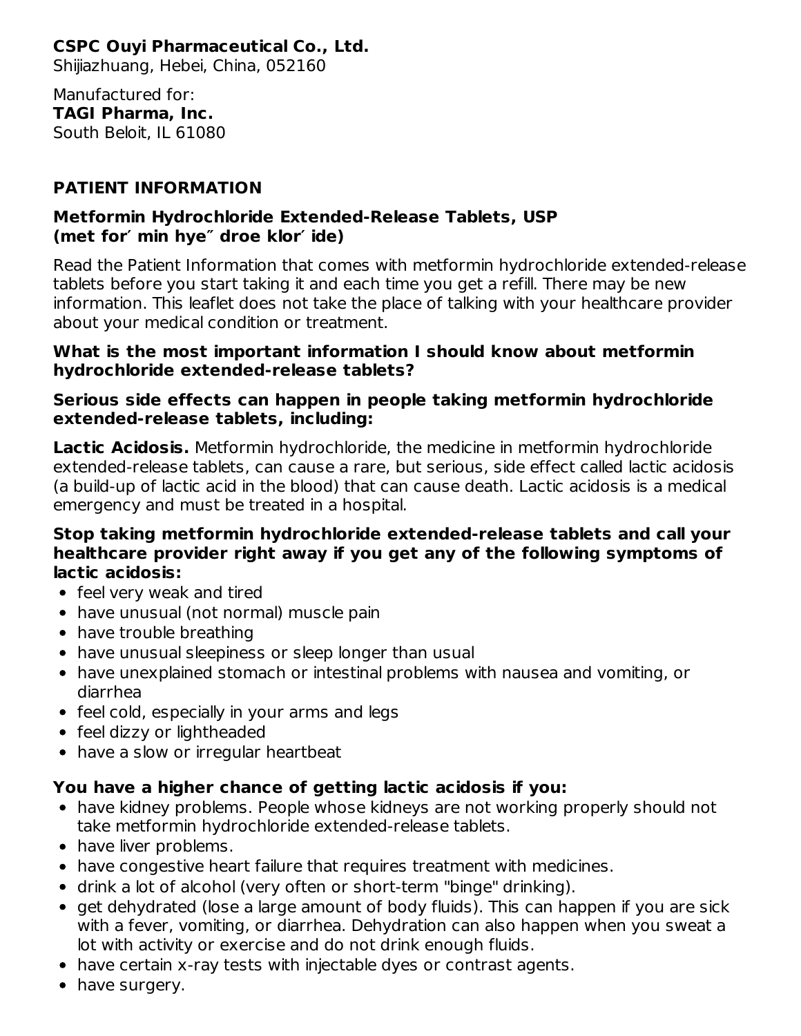# **CSPC Ouyi Pharmaceutical Co., Ltd.**

Shijiazhuang, Hebei, China, 052160

Manufactured for: **TAGI Pharma, Inc.** South Beloit, IL 61080

### **PATIENT INFORMATION**

### **Metformin Hydrochloride Extended-Release Tablets, USP (met for′ min hye″ droe klor′ ide)**

Read the Patient Information that comes with metformin hydrochloride extended-release tablets before you start taking it and each time you get a refill. There may be new information. This leaflet does not take the place of talking with your healthcare provider about your medical condition or treatment.

#### **What is the most important information I should know about metformin hydrochloride extended-release tablets?**

### **Serious side effects can happen in people taking metformin hydrochloride extended-release tablets, including:**

**Lactic Acidosis.** Metformin hydrochloride, the medicine in metformin hydrochloride extended-release tablets, can cause a rare, but serious, side effect called lactic acidosis (a build-up of lactic acid in the blood) that can cause death. Lactic acidosis is a medical emergency and must be treated in a hospital.

### **Stop taking metformin hydrochloride extended-release tablets and call your healthcare provider right away if you get any of the following symptoms of lactic acidosis:**

- feel very weak and tired
- have unusual (not normal) muscle pain
- have trouble breathing
- have unusual sleepiness or sleep longer than usual
- have unexplained stomach or intestinal problems with nausea and vomiting, or diarrhea
- feel cold, especially in your arms and legs
- feel dizzy or lightheaded
- have a slow or irregular heartbeat

### **You have a higher chance of getting lactic acidosis if you:**

- have kidney problems. People whose kidneys are not working properly should not take metformin hydrochloride extended-release tablets.
- have liver problems.
- have congestive heart failure that requires treatment with medicines.
- drink a lot of alcohol (very often or short-term "binge" drinking).
- get dehydrated (lose a large amount of body fluids). This can happen if you are sick with a fever, vomiting, or diarrhea. Dehydration can also happen when you sweat a lot with activity or exercise and do not drink enough fluids.
- have certain x-ray tests with injectable dyes or contrast agents.
- have surgery.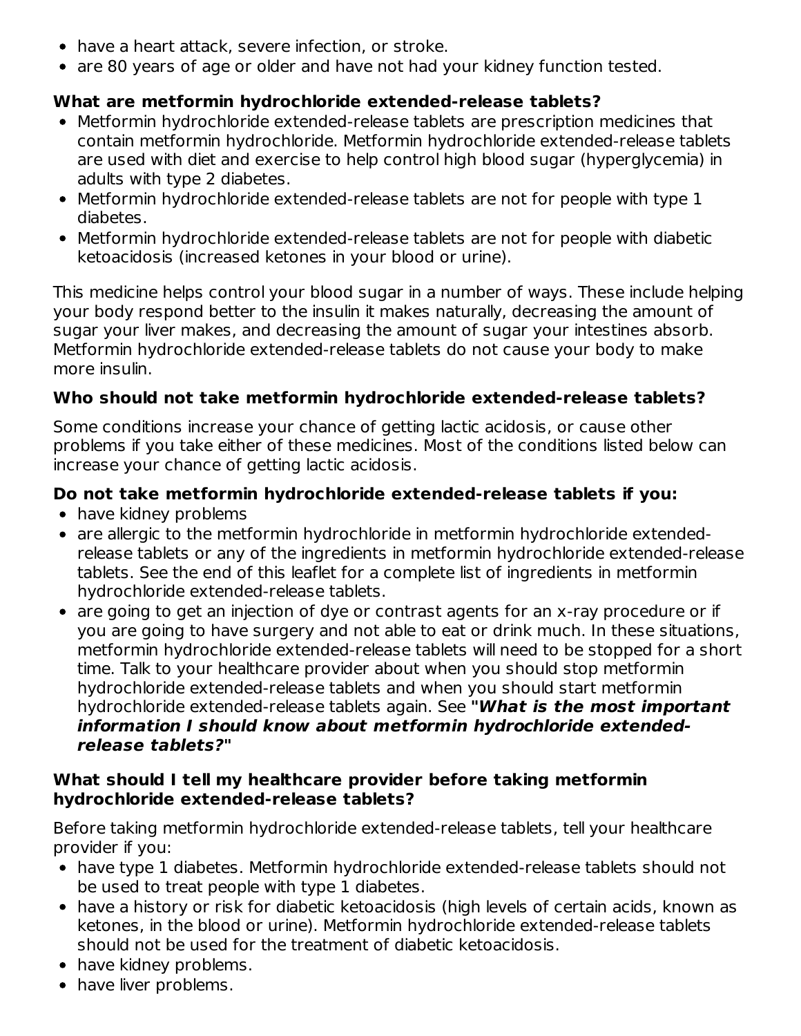- have a heart attack, severe infection, or stroke.
- are 80 years of age or older and have not had your kidney function tested.

### **What are metformin hydrochloride extended-release tablets?**

- Metformin hydrochloride extended-release tablets are prescription medicines that contain metformin hydrochloride. Metformin hydrochloride extended-release tablets are used with diet and exercise to help control high blood sugar (hyperglycemia) in adults with type 2 diabetes.
- Metformin hydrochloride extended-release tablets are not for people with type 1 diabetes.
- Metformin hydrochloride extended-release tablets are not for people with diabetic ketoacidosis (increased ketones in your blood or urine).

This medicine helps control your blood sugar in a number of ways. These include helping your body respond better to the insulin it makes naturally, decreasing the amount of sugar your liver makes, and decreasing the amount of sugar your intestines absorb. Metformin hydrochloride extended-release tablets do not cause your body to make more insulin.

### **Who should not take metformin hydrochloride extended-release tablets?**

Some conditions increase your chance of getting lactic acidosis, or cause other problems if you take either of these medicines. Most of the conditions listed below can increase your chance of getting lactic acidosis.

## **Do not take metformin hydrochloride extended-release tablets if you:**

- have kidney problems
- are allergic to the metformin hydrochloride in metformin hydrochloride extendedrelease tablets or any of the ingredients in metformin hydrochloride extended-release tablets. See the end of this leaflet for a complete list of ingredients in metformin hydrochloride extended-release tablets.
- are going to get an injection of dye or contrast agents for an x-ray procedure or if you are going to have surgery and not able to eat or drink much. In these situations, metformin hydrochloride extended-release tablets will need to be stopped for a short time. Talk to your healthcare provider about when you should stop metformin hydrochloride extended-release tablets and when you should start metformin hydrochloride extended-release tablets again. See **"What is the most important information I should know about metformin hydrochloride extendedrelease tablets?"**

### **What should I tell my healthcare provider before taking metformin hydrochloride extended-release tablets?**

Before taking metformin hydrochloride extended-release tablets, tell your healthcare provider if you:

- have type 1 diabetes. Metformin hydrochloride extended-release tablets should not be used to treat people with type 1 diabetes.
- have a history or risk for diabetic ketoacidosis (high levels of certain acids, known as ketones, in the blood or urine). Metformin hydrochloride extended-release tablets should not be used for the treatment of diabetic ketoacidosis.
- have kidney problems.
- have liver problems.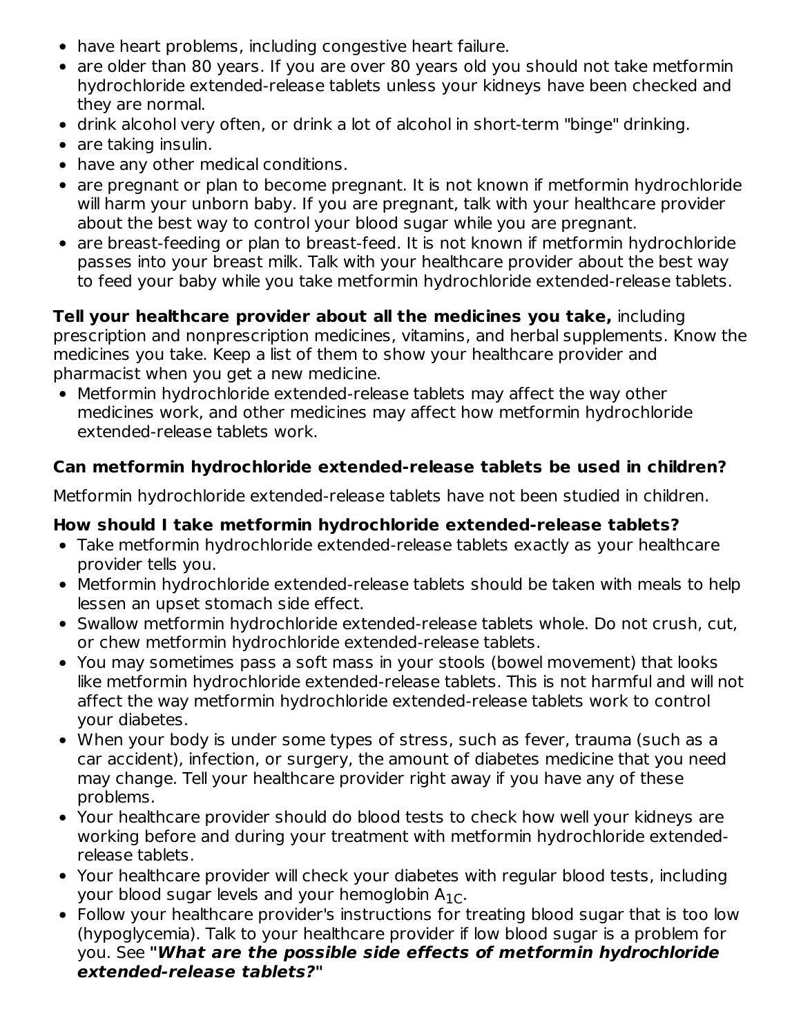- have heart problems, including congestive heart failure.
- are older than 80 years. If you are over 80 years old you should not take metformin hydrochloride extended-release tablets unless your kidneys have been checked and they are normal.
- drink alcohol very often, or drink a lot of alcohol in short-term "binge" drinking.
- are taking insulin.
- have any other medical conditions.
- are pregnant or plan to become pregnant. It is not known if metformin hydrochloride will harm your unborn baby. If you are pregnant, talk with your healthcare provider about the best way to control your blood sugar while you are pregnant.
- are breast-feeding or plan to breast-feed. It is not known if metformin hydrochloride passes into your breast milk. Talk with your healthcare provider about the best way to feed your baby while you take metformin hydrochloride extended-release tablets.

**Tell your healthcare provider about all the medicines you take,** including prescription and nonprescription medicines, vitamins, and herbal supplements. Know the medicines you take. Keep a list of them to show your healthcare provider and pharmacist when you get a new medicine.

Metformin hydrochloride extended-release tablets may affect the way other medicines work, and other medicines may affect how metformin hydrochloride extended-release tablets work.

### **Can metformin hydrochloride extended-release tablets be used in children?**

Metformin hydrochloride extended-release tablets have not been studied in children.

### **How should I take metformin hydrochloride extended-release tablets?**

- Take metformin hydrochloride extended-release tablets exactly as your healthcare provider tells you.
- Metformin hydrochloride extended-release tablets should be taken with meals to help lessen an upset stomach side effect.
- Swallow metformin hydrochloride extended-release tablets whole. Do not crush, cut, or chew metformin hydrochloride extended-release tablets.
- You may sometimes pass a soft mass in your stools (bowel movement) that looks like metformin hydrochloride extended-release tablets. This is not harmful and will not affect the way metformin hydrochloride extended-release tablets work to control your diabetes.
- When your body is under some types of stress, such as fever, trauma (such as a car accident), infection, or surgery, the amount of diabetes medicine that you need may change. Tell your healthcare provider right away if you have any of these problems.
- Your healthcare provider should do blood tests to check how well your kidneys are working before and during your treatment with metformin hydrochloride extendedrelease tablets.
- Your healthcare provider will check your diabetes with regular blood tests, including your blood sugar levels and your hemoglobin  $\mathsf{A_{1C}}.$
- Follow your healthcare provider's instructions for treating blood sugar that is too low (hypoglycemia). Talk to your healthcare provider if low blood sugar is a problem for you. See **"What are the possible side effects of metformin hydrochloride extended-release tablets?"**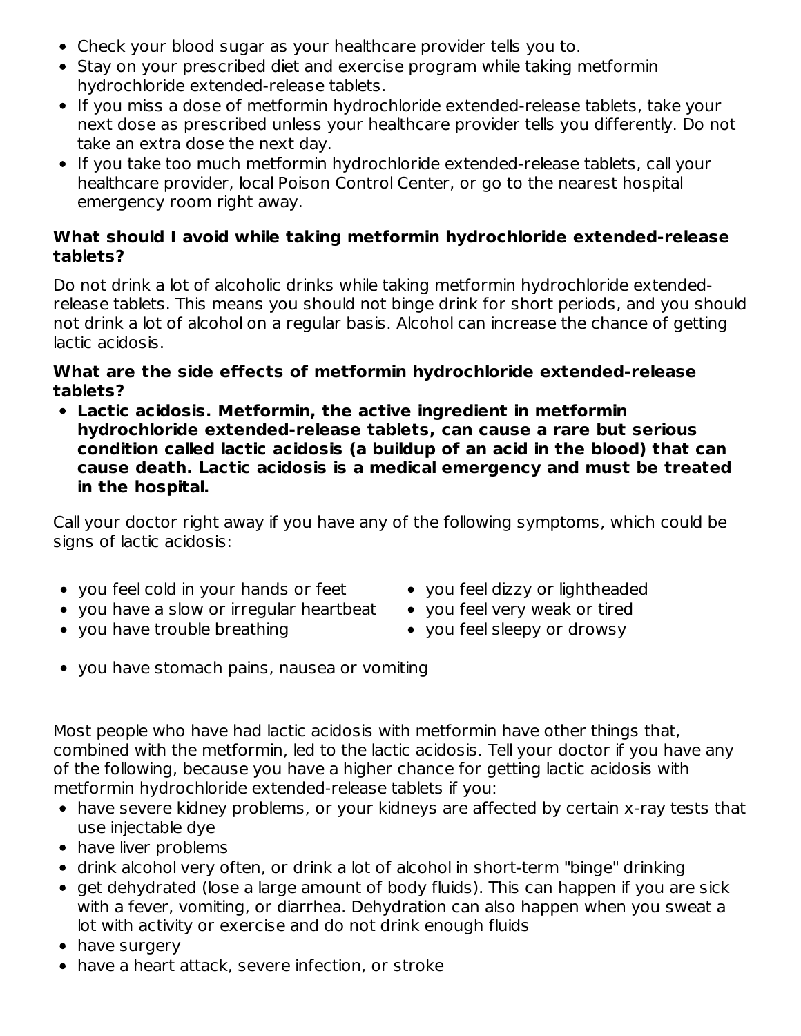- Check your blood sugar as your healthcare provider tells you to.
- Stay on your prescribed diet and exercise program while taking metformin hydrochloride extended-release tablets.
- If you miss a dose of metformin hydrochloride extended-release tablets, take your next dose as prescribed unless your healthcare provider tells you differently. Do not take an extra dose the next day.
- If you take too much metformin hydrochloride extended-release tablets, call your healthcare provider, local Poison Control Center, or go to the nearest hospital emergency room right away.

### **What should I avoid while taking metformin hydrochloride extended-release tablets?**

Do not drink a lot of alcoholic drinks while taking metformin hydrochloride extendedrelease tablets. This means you should not binge drink for short periods, and you should not drink a lot of alcohol on a regular basis. Alcohol can increase the chance of getting lactic acidosis.

#### **What are the side effects of metformin hydrochloride extended-release tablets?**

**Lactic acidosis. Metformin, the active ingredient in metformin hydrochloride extended-release tablets, can cause a rare but serious condition called lactic acidosis (a buildup of an acid in the blood) that can cause death. Lactic acidosis is a medical emergency and must be treated in the hospital.**

Call your doctor right away if you have any of the following symptoms, which could be signs of lactic acidosis:

- you feel cold in your hands or feet
- you have a slow or irregular heartbeat
- you have trouble breathing
- you feel dizzy or lightheaded
- you feel very weak or tired
- you feel sleepy or drowsy
- you have stomach pains, nausea or vomiting

Most people who have had lactic acidosis with metformin have other things that, combined with the metformin, led to the lactic acidosis. Tell your doctor if you have any of the following, because you have a higher chance for getting lactic acidosis with metformin hydrochloride extended-release tablets if you:

- have severe kidney problems, or your kidneys are affected by certain x-ray tests that use injectable dye
- have liver problems
- drink alcohol very often, or drink a lot of alcohol in short-term "binge" drinking
- get dehydrated (lose a large amount of body fluids). This can happen if you are sick with a fever, vomiting, or diarrhea. Dehydration can also happen when you sweat a lot with activity or exercise and do not drink enough fluids
- have surgery
- have a heart attack, severe infection, or stroke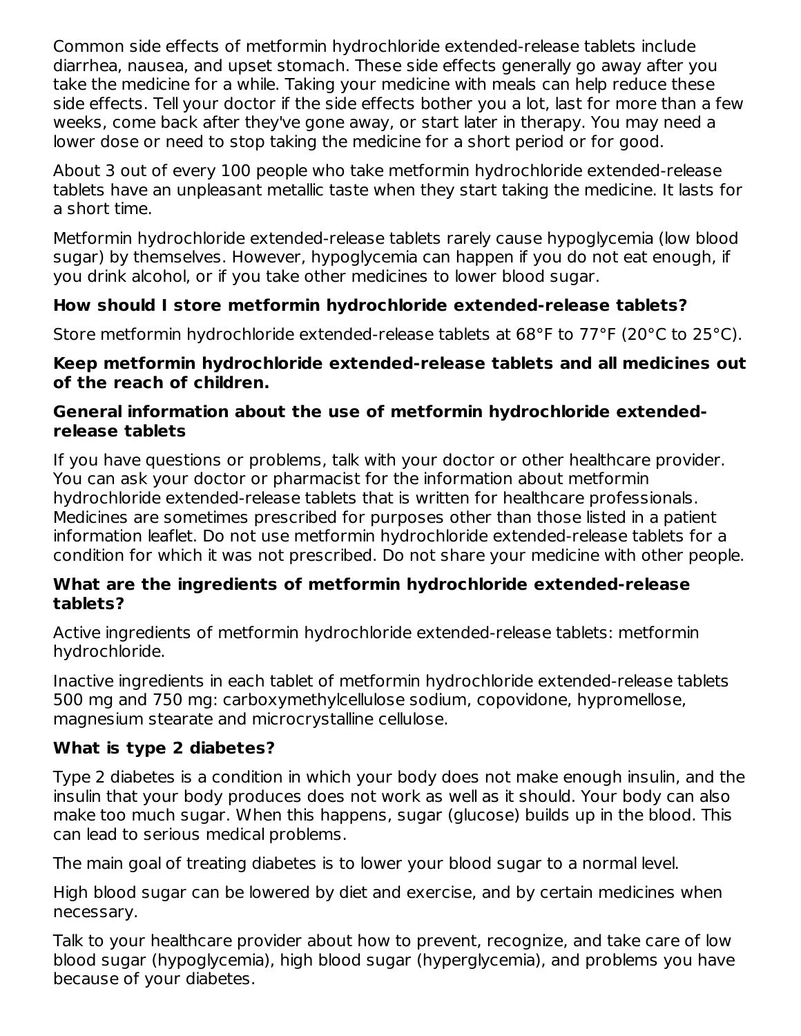Common side effects of metformin hydrochloride extended-release tablets include diarrhea, nausea, and upset stomach. These side effects generally go away after you take the medicine for a while. Taking your medicine with meals can help reduce these side effects. Tell your doctor if the side effects bother you a lot, last for more than a few weeks, come back after they've gone away, or start later in therapy. You may need a lower dose or need to stop taking the medicine for a short period or for good.

About 3 out of every 100 people who take metformin hydrochloride extended-release tablets have an unpleasant metallic taste when they start taking the medicine. It lasts for a short time.

Metformin hydrochloride extended-release tablets rarely cause hypoglycemia (low blood sugar) by themselves. However, hypoglycemia can happen if you do not eat enough, if you drink alcohol, or if you take other medicines to lower blood sugar.

### **How should I store metformin hydrochloride extended-release tablets?**

Store metformin hydrochloride extended-release tablets at 68°F to 77°F (20°C to 25°C).

#### **Keep metformin hydrochloride extended-release tablets and all medicines out of the reach of children.**

#### **General information about the use of metformin hydrochloride extendedrelease tablets**

If you have questions or problems, talk with your doctor or other healthcare provider. You can ask your doctor or pharmacist for the information about metformin hydrochloride extended-release tablets that is written for healthcare professionals. Medicines are sometimes prescribed for purposes other than those listed in a patient information leaflet. Do not use metformin hydrochloride extended-release tablets for a condition for which it was not prescribed. Do not share your medicine with other people.

### **What are the ingredients of metformin hydrochloride extended-release tablets?**

Active ingredients of metformin hydrochloride extended-release tablets: metformin hydrochloride.

Inactive ingredients in each tablet of metformin hydrochloride extended-release tablets 500 mg and 750 mg: carboxymethylcellulose sodium, copovidone, hypromellose, magnesium stearate and microcrystalline cellulose.

### **What is type 2 diabetes?**

Type 2 diabetes is a condition in which your body does not make enough insulin, and the insulin that your body produces does not work as well as it should. Your body can also make too much sugar. When this happens, sugar (glucose) builds up in the blood. This can lead to serious medical problems.

The main goal of treating diabetes is to lower your blood sugar to a normal level.

High blood sugar can be lowered by diet and exercise, and by certain medicines when necessary.

Talk to your healthcare provider about how to prevent, recognize, and take care of low blood sugar (hypoglycemia), high blood sugar (hyperglycemia), and problems you have because of your diabetes.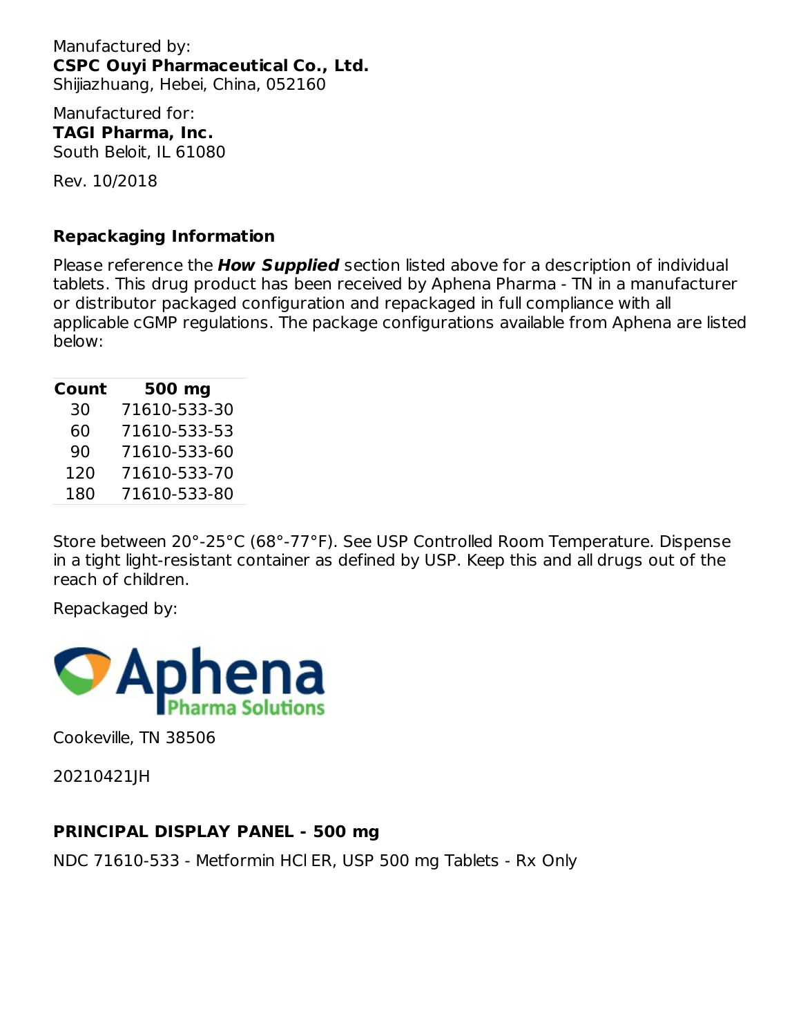Manufactured by: **CSPC Ouyi Pharmaceutical Co., Ltd.** Shijiazhuang, Hebei, China, 052160

Manufactured for: **TAGI Pharma, Inc.** South Beloit, IL 61080

Rev. 10/2018

#### **Repackaging Information**

Please reference the **How Supplied** section listed above for a description of individual tablets. This drug product has been received by Aphena Pharma - TN in a manufacturer or distributor packaged configuration and repackaged in full compliance with all applicable cGMP regulations. The package configurations available from Aphena are listed below:

| Count | 500 mg       |
|-------|--------------|
| 30    | 71610-533-30 |
| 60    | 71610-533-53 |
| 90    | 71610-533-60 |
| 120   | 71610-533-70 |
| 180   | 71610-533-80 |

Store between 20°-25°C (68°-77°F). See USP Controlled Room Temperature. Dispense in a tight light-resistant container as defined by USP. Keep this and all drugs out of the reach of children.

Repackaged by:



Cookeville, TN 38506

20210421JH

### **PRINCIPAL DISPLAY PANEL - 500 mg**

NDC 71610-533 - Metformin HCl ER, USP 500 mg Tablets - Rx Only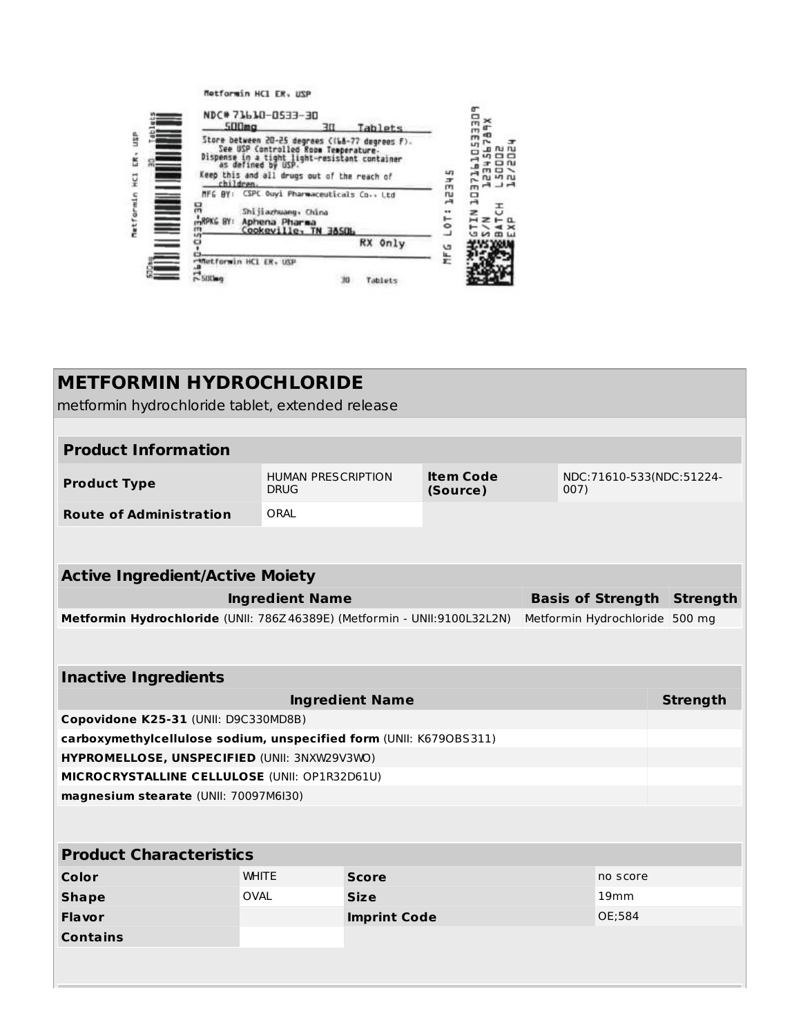Metformin HCl ER, USP

|                | NDC#71610-0533-30<br><b>SODma</b><br>30<br>Tablets                                                                                                                                                                         | m<br>œ                                          |
|----------------|----------------------------------------------------------------------------------------------------------------------------------------------------------------------------------------------------------------------------|-------------------------------------------------|
| ធ្ន<br>ś<br>çı | Store between 20-25 degrees ((68-77 degrees F).<br>See USP Controlled Room Temperature-<br>Dispense in a tight light-resistant container<br>as defined by USP.<br>Keep this and all drugs out of the reach of<br>children. | nu ru<br><b>1000</b><br>n.<br><b>In</b> In<br>士 |
| Metformin      | MFG BY: CSPC Ouyi Pharmaceuticals Co., Ltd<br>믂<br>Shijiazhuang, China<br>mRPKG BY:<br>Aphena Pharma<br>Cookeville, TN 38506<br>m                                                                                          | m<br>ru<br>▭<br>$\overline{a}$<br>÷<br>Ò        |
|                | RX Only<br><b>Matformin HCL ER, USP</b>                                                                                                                                                                                    | u٠<br>늪                                         |
|                | Tablets                                                                                                                                                                                                                    |                                                 |

| <b>METFORMIN HYDROCHLORIDE</b>                                     |                                                                          |                        |                              |                                |                                  |                 |  |  |  |  |
|--------------------------------------------------------------------|--------------------------------------------------------------------------|------------------------|------------------------------|--------------------------------|----------------------------------|-----------------|--|--|--|--|
| metformin hydrochloride tablet, extended release                   |                                                                          |                        |                              |                                |                                  |                 |  |  |  |  |
|                                                                    |                                                                          |                        |                              |                                |                                  |                 |  |  |  |  |
| <b>Product Information</b>                                         |                                                                          |                        |                              |                                |                                  |                 |  |  |  |  |
| <b>Product Type</b>                                                | <b>HUMAN PRESCRIPTION</b><br><b>DRUG</b>                                 |                        | <b>Item Code</b><br>(Source) |                                | NDC:71610-533(NDC:51224-<br>007) |                 |  |  |  |  |
| <b>Route of Administration</b>                                     | ORAL                                                                     |                        |                              |                                |                                  |                 |  |  |  |  |
|                                                                    |                                                                          |                        |                              |                                |                                  |                 |  |  |  |  |
| <b>Active Ingredient/Active Moiety</b>                             |                                                                          |                        |                              |                                |                                  |                 |  |  |  |  |
| <b>Basis of Strength</b><br><b>Ingredient Name</b>                 |                                                                          |                        |                              |                                |                                  | <b>Strength</b> |  |  |  |  |
|                                                                    | Metformin Hydrochloride (UNII: 786Z46389E) (Metformin - UNII:9100L32L2N) |                        |                              | Metformin Hydrochloride 500 mg |                                  |                 |  |  |  |  |
|                                                                    |                                                                          |                        |                              |                                |                                  |                 |  |  |  |  |
|                                                                    |                                                                          |                        |                              |                                |                                  |                 |  |  |  |  |
| <b>Inactive Ingredients</b>                                        |                                                                          |                        |                              |                                |                                  |                 |  |  |  |  |
|                                                                    |                                                                          | <b>Ingredient Name</b> |                              |                                |                                  | <b>Strength</b> |  |  |  |  |
| Copovidone K25-31 (UNII: D9C330MD8B)                               |                                                                          |                        |                              |                                |                                  |                 |  |  |  |  |
| carboxymethylcellulose sodium, unspecified form (UNII: K6790BS311) |                                                                          |                        |                              |                                |                                  |                 |  |  |  |  |
| HYPROMELLOSE, UNSPECIFIED (UNII: 3NXW29V3WO)                       |                                                                          |                        |                              |                                |                                  |                 |  |  |  |  |
| MICROCRYSTALLINE CELLULOSE (UNII: OP1R32D61U)                      |                                                                          |                        |                              |                                |                                  |                 |  |  |  |  |
| magnesium stearate (UNII: 70097M6I30)                              |                                                                          |                        |                              |                                |                                  |                 |  |  |  |  |
|                                                                    |                                                                          |                        |                              |                                |                                  |                 |  |  |  |  |
| <b>Product Characteristics</b>                                     |                                                                          |                        |                              |                                |                                  |                 |  |  |  |  |
| Color                                                              | <b>WHITE</b>                                                             | <b>Score</b>           |                              |                                | no score                         |                 |  |  |  |  |
| <b>Shape</b>                                                       | OVAL                                                                     | <b>Size</b>            |                              |                                | 19mm                             |                 |  |  |  |  |
| Flavor                                                             |                                                                          | <b>Imprint Code</b>    |                              |                                | OE;584                           |                 |  |  |  |  |
| <b>Contains</b>                                                    |                                                                          |                        |                              |                                |                                  |                 |  |  |  |  |
|                                                                    |                                                                          |                        |                              |                                |                                  |                 |  |  |  |  |
|                                                                    |                                                                          |                        |                              |                                |                                  |                 |  |  |  |  |